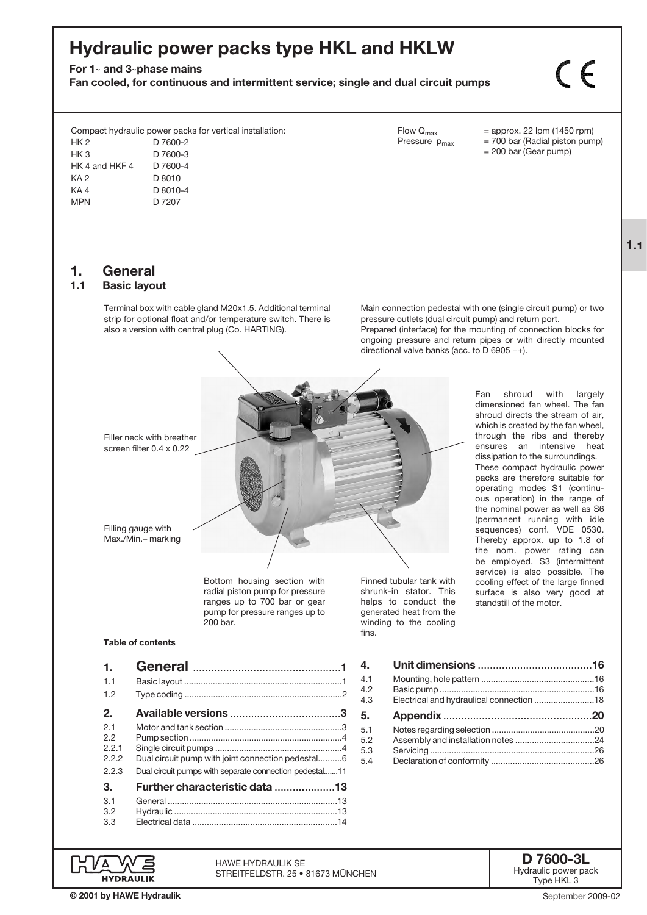# Hydraulic power packs type HKL and HKLW

For  $1-$  and 3-phase mains

Fan cooled, for continuous and intermittent service; single and dual circuit pumps

 $\zeta$ 

Compact hydraulic power packs for vertical installation:

| HK 2            | D 7600-2 |
|-----------------|----------|
| HK 3            | D 7600-3 |
| HK 4 and HKF 4  | D 7600-4 |
| KA <sub>2</sub> | D 8010   |
| KA4             | D 8010-4 |
| <b>MPN</b>      | D 7207   |
|                 |          |

# 1. **General**<br>1.1 Basic lavor

#### **Basic layout**

Terminal box with cable gland M20x1.5. Additional terminal strip for optional float and/or temperature switch. There is also a version with central plug (Co. HARTING).

Flow Q<sub>max</sub> = approx. 22 lpm (1450 rpm)<br>Pressure  $p_{max}$  = 700 bar (Radial piston pum  $= 700$  bar (Radial piston pump) = 200 bar (Gear pump)

1.1

Main connection pedestal with one (single circuit pump) or two pressure outlets (dual circuit pump) and return port.

Prepared (interface) for the mounting of connection blocks for ongoing pressure and return pipes or with directly mounted directional valve banks (acc. to D 6905 ++).

Filler neck with breather screen filter 0.4 x 0.22

Filling gauge with Max./Min.– marking

> Bottom housing section with radial piston pump for pressure ranges up to 700 bar or gear pump for pressure ranges up to 200 bar.

HAWE Hydraulik SE

STREITFELDSTR. 25 • 81673 MÜNCHEN

Finned tubular tank with shrunk-in stator. This helps to conduct the generated heat from the winding to the cooling fins.

Fan shroud with largely dimensioned fan wheel. The fan shroud directs the stream of air, which is created by the fan wheel, through the ribs and thereby ensures an intensive heat dissipation to the surroundings. These compact hydraulic power packs are therefore suitable for operating modes S1 (continuous operation) in the range of the nominal power as well as S6 (permanent running with idle sequences) conf. VDE 0530. Thereby approx. up to 1.8 of the nom. power rating can be employed. S3 (intermittent service) is also possible. The cooling effect of the large finned surface is also very good at standstill of the motor.

#### Table of contents

| 1.                                  |                                                                                                             |
|-------------------------------------|-------------------------------------------------------------------------------------------------------------|
| 1.1                                 |                                                                                                             |
| 1.2                                 |                                                                                                             |
| 2.                                  |                                                                                                             |
| 2.1<br>2.2<br>2.2.1<br>222<br>2.2.3 | Dual circuit pump with joint connection pedestal6<br>Dual circuit pumps with separate connection pedestal11 |
| З.                                  | <b>Further characteristic data 13</b>                                                                       |
| 3.1<br>3.2<br>3.3                   |                                                                                                             |

D 7600-3L Hydraulic power pack Type HKL 3

**HYDRAULIK** © 2001 by HAWE Hydraulik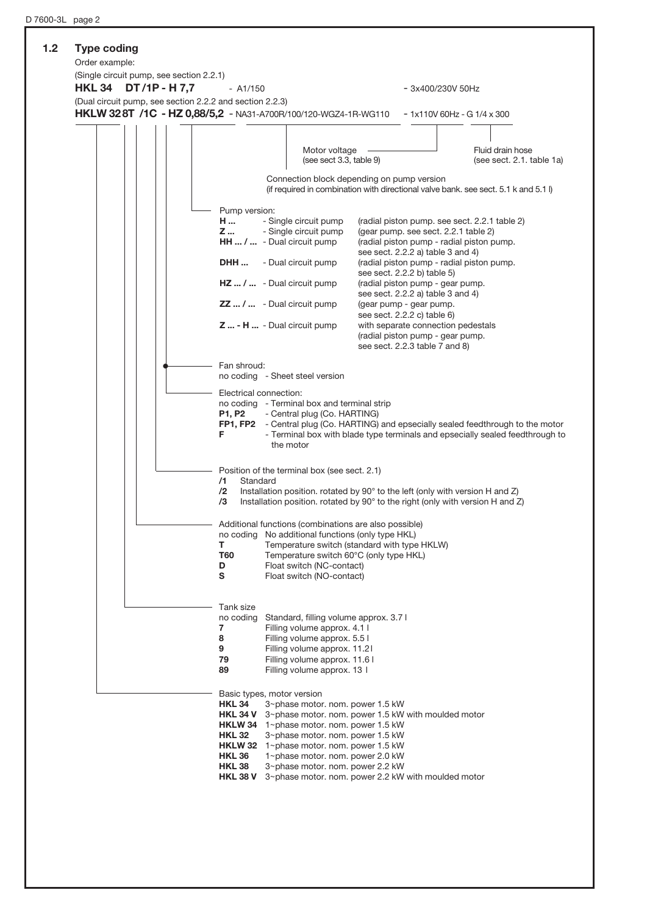| (Single circuit pump, see section 2.2.1)<br><b>HKL 34</b> | DT/1P - H 7,7 | $-$ A1/150                                                                                                                           |                                                                                                                                                                                                                                                                                                                                                                                       | - 3x400/230V 50Hz                                                                                                                                                                                                                                                                                                                                                                                                                                                                                  |                                                                                                                                                                       |
|-----------------------------------------------------------|---------------|--------------------------------------------------------------------------------------------------------------------------------------|---------------------------------------------------------------------------------------------------------------------------------------------------------------------------------------------------------------------------------------------------------------------------------------------------------------------------------------------------------------------------------------|----------------------------------------------------------------------------------------------------------------------------------------------------------------------------------------------------------------------------------------------------------------------------------------------------------------------------------------------------------------------------------------------------------------------------------------------------------------------------------------------------|-----------------------------------------------------------------------------------------------------------------------------------------------------------------------|
|                                                           |               | (Dual circuit pump, see section 2.2.2 and section 2.2.3)                                                                             | HKLW 328T /1C - HZ 0,88/5,2 - NA31-A700R/100/120-WGZ4-1R-WG110                                                                                                                                                                                                                                                                                                                        |                                                                                                                                                                                                                                                                                                                                                                                                                                                                                                    | $-1x110V$ 60Hz - G $1/4x300$                                                                                                                                          |
|                                                           |               |                                                                                                                                      | Motor voltage<br>(see sect 3.3, table 9)                                                                                                                                                                                                                                                                                                                                              |                                                                                                                                                                                                                                                                                                                                                                                                                                                                                                    | Fluid drain hose<br>(see sect. 2.1. table 1a)                                                                                                                         |
|                                                           |               |                                                                                                                                      |                                                                                                                                                                                                                                                                                                                                                                                       | Connection block depending on pump version                                                                                                                                                                                                                                                                                                                                                                                                                                                         | (if required in combination with directional valve bank. see sect. 5.1 k and 5.1 l)                                                                                   |
|                                                           |               | Pump version:<br>H<br>Z<br>DHH<br>Fan shroud:<br>Electrical connection:<br>P1, P2<br>F<br>/1<br>Standard                             | - Single circuit pump<br>- Single circuit pump<br>HH  /  - Dual circuit pump<br>- Dual circuit pump<br>$HZ /  - Dual circuit pump$<br><b>ZZ</b> /  - Dual circuit pump<br>$Z$ - H  - Dual circuit pump<br>no coding - Sheet steel version<br>no coding - Terminal box and terminal strip<br>- Central plug (Co. HARTING)<br>the motor<br>Position of the terminal box (see sect. 2.1) | (radial piston pump. see sect. 2.2.1 table 2)<br>(gear pump. see sect. 2.2.1 table 2)<br>(radial piston pump - radial piston pump.<br>see sect. 2.2.2 a) table 3 and 4)<br>(radial piston pump - radial piston pump.<br>see sect. 2.2.2 b) table 5)<br>(radial piston pump - gear pump.<br>see sect. 2.2.2 a) table 3 and 4)<br>(gear pump - gear pump.<br>see sect. 2.2.2 c) table 6)<br>with separate connection pedestals<br>(radial piston pump - gear pump.<br>see sect. 2.2.3 table 7 and 8) | FP1, FP2 - Central plug (Co. HARTING) and epsecially sealed feedthrough to the motor<br>- Terminal box with blade type terminals and epsecially sealed feedthrough to |
|                                                           |               | /2<br>/3<br>т<br>T60<br>D<br>s                                                                                                       | Additional functions (combinations are also possible)<br>no coding No additional functions (only type HKL)<br>Temperature switch 60°C (only type HKL)<br>Float switch (NC-contact)<br>Float switch (NO-contact)                                                                                                                                                                       | Installation position. rotated by 90° to the left (only with version H and Z)<br>Installation position. rotated by 90° to the right (only with version H and Z)<br>Temperature switch (standard with type HKLW)                                                                                                                                                                                                                                                                                    |                                                                                                                                                                       |
|                                                           |               | Tank size<br>no coding<br>7<br>8<br>9<br>79<br>89                                                                                    | Standard, filling volume approx. 3.7 I<br>Filling volume approx. 4.1 I<br>Filling volume approx. 5.5 l<br>Filling volume approx. 11.21<br>Filling volume approx. 11.6 l<br>Filling volume approx. 13 l                                                                                                                                                                                |                                                                                                                                                                                                                                                                                                                                                                                                                                                                                                    |                                                                                                                                                                       |
|                                                           |               | Basic types, motor version<br><b>HKL 34</b><br><b>HKL 34 V</b><br><b>HKL 32</b><br><b>HKL 36</b><br><b>HKL 38</b><br><b>HKL 38 V</b> | 3~phase motor. nom. power 1.5 kW<br><b>HKLW 34</b> 1~phase motor. nom. power 1.5 kW<br>3~phase motor. nom. power 1.5 kW<br><b>HKLW 32</b> 1~phase motor. nom. power 1.5 kW<br>1~phase motor. nom. power 2.0 kW<br>3~phase motor. nom. power 2.2 kW                                                                                                                                    | 3~phase motor, nom, power 1.5 kW with moulded motor<br>3~phase motor. nom. power 2.2 kW with moulded motor                                                                                                                                                                                                                                                                                                                                                                                         |                                                                                                                                                                       |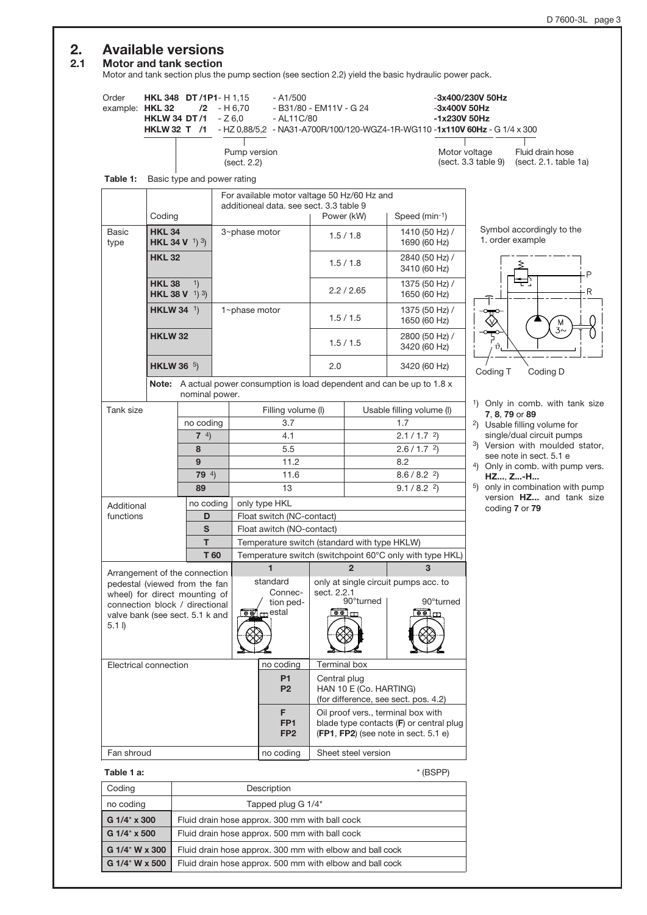# 2. Available versions<br>2.1 Motor and tank section

# **Motor and tank section**

Motor and tank section plus the pump section (see section 2.2) yield the basic hydraulic power pack.

| Order<br>example: HKL 32                                             |                    | <b>HKL 348 DT/1P1-H1,15</b><br><b>HKLW 34 DT/1</b> | $/2 - H6,70$<br>$-Z6.0$ | $- A1/500$<br>- B31/80 - EM11V - G 24<br>- AL11C/80<br>HKLW 32 T /1 - HZ 0,88/5,2 - NA31-A700R/100/120-WGZ4-1R-WG110-1x110V 60Hz - G 1/4 x 300 |                                                                                                                       |                            |                                      | -3x400/230V 50Hz<br>$-3x400V$ 50Hz<br>-1x230V 50Hz |                                                         |                                                               |
|----------------------------------------------------------------------|--------------------|----------------------------------------------------|-------------------------|------------------------------------------------------------------------------------------------------------------------------------------------|-----------------------------------------------------------------------------------------------------------------------|----------------------------|--------------------------------------|----------------------------------------------------|---------------------------------------------------------|---------------------------------------------------------------|
|                                                                      |                    |                                                    |                         | Pump version<br>(sect. 2.2)                                                                                                                    |                                                                                                                       |                            |                                      | Motor voltage<br>(sect. 3.3 table 9)               |                                                         | Fluid drain hose<br>(sect. 2.1. table 1a)                     |
| Table 1:                                                             |                    | Basic type and power rating                        |                         |                                                                                                                                                |                                                                                                                       |                            |                                      |                                                    |                                                         |                                                               |
|                                                                      |                    |                                                    |                         | For available motor valtage 50 Hz/60 Hz and                                                                                                    |                                                                                                                       |                            |                                      |                                                    |                                                         |                                                               |
|                                                                      | Coding             |                                                    |                         | additioneal data, see sect, 3.3 table 9                                                                                                        | Power (kW)                                                                                                            |                            | Speed (min-1)                        |                                                    |                                                         |                                                               |
| Basic<br>type                                                        | <b>HKL 34</b>      | <b>HKL 34 V</b> <sup>1</sup> ) <sup>3</sup> )      |                         | 3~phase motor                                                                                                                                  |                                                                                                                       | 1.5/1.8                    | 1410 (50 Hz) /<br>1690 (60 Hz)       |                                                    |                                                         | Symbol accordingly to the<br>1. order example                 |
|                                                                      | <b>HKL 32</b>      |                                                    |                         |                                                                                                                                                |                                                                                                                       | 1.5 / 1.8                  | 2840 (50 Hz) /<br>3410 (60 Hz)       |                                                    |                                                         |                                                               |
|                                                                      | <b>HKL 38</b>      | 1)<br><b>HKL 38 V</b> $(1)$ $(3)$                  |                         |                                                                                                                                                |                                                                                                                       | 2.2 / 2.65                 | 1375 (50 Hz) /<br>1650 (60 Hz)       |                                                    |                                                         |                                                               |
|                                                                      | <b>HKLW 34</b> $1$ |                                                    |                         | 1~phase motor                                                                                                                                  |                                                                                                                       | 1.5/1.5                    | 1375 (50 Hz) /<br>1650 (60 Hz)       |                                                    |                                                         |                                                               |
|                                                                      | <b>HKLW 32</b>     |                                                    |                         |                                                                                                                                                |                                                                                                                       | 1.5/1.5                    | 2800 (50 Hz) /<br>3420 (60 Hz)       |                                                    |                                                         |                                                               |
|                                                                      | <b>HKLW 36</b> $5$ |                                                    |                         |                                                                                                                                                | 2.0<br>3420 (60 Hz)<br>Note: A actual power consumption is load dependent and can be up to 1.8 x                      |                            |                                      |                                                    | Coding T                                                | Coding D                                                      |
|                                                                      |                    | nominal power.                                     |                         |                                                                                                                                                |                                                                                                                       |                            |                                      |                                                    |                                                         |                                                               |
| Tank size                                                            |                    |                                                    |                         | Filling volume (I)                                                                                                                             |                                                                                                                       |                            | Usable filling volume (I)            |                                                    |                                                         | <sup>1</sup> ) Only in comb. with tank size<br>7, 8, 79 or 89 |
|                                                                      |                    | no coding                                          |                         | 3.7                                                                                                                                            |                                                                                                                       |                            | 1.7                                  |                                                    |                                                         | <sup>2</sup> ) Usable filling volume for                      |
|                                                                      | $7^{4}$            |                                                    |                         | 4.1                                                                                                                                            | $2.1 / 1.7$ <sup>2</sup> )                                                                                            |                            |                                      |                                                    |                                                         | single/dual circuit pumps                                     |
|                                                                      | 8                  |                                                    |                         | 5.5                                                                                                                                            | $2.6 / 1.7$ <sup>2</sup> )                                                                                            |                            |                                      |                                                    |                                                         | 3) Version with moulded stator,<br>see note in sect. 5.1 e    |
|                                                                      |                    | 9                                                  |                         | 11.2                                                                                                                                           | 8.2<br>$8.6 / 8.2$ <sup>2</sup> )                                                                                     |                            |                                      |                                                    |                                                         | 4) Only in comb. with pump vers.                              |
|                                                                      |                    | 79 $4)$                                            |                         | 11.6                                                                                                                                           |                                                                                                                       |                            |                                      |                                                    | HZ, Z-H<br><sup>5</sup> ) only in combination with pump |                                                               |
|                                                                      |                    | 89                                                 |                         | 13                                                                                                                                             |                                                                                                                       | $9.1 / 8.2$ <sup>2</sup> ) |                                      |                                                    |                                                         | version HZ and tank size                                      |
| Additional<br>functions                                              |                    | no coding<br>D                                     |                         | only type HKL<br>Float switch (NC-contact)                                                                                                     |                                                                                                                       |                            |                                      |                                                    |                                                         | coding 7 or 79                                                |
|                                                                      |                    | S                                                  |                         | Float awitch (NO-contact)                                                                                                                      |                                                                                                                       |                            |                                      |                                                    |                                                         |                                                               |
|                                                                      |                    | T                                                  |                         | Temperature switch (standard with type HKLW)                                                                                                   |                                                                                                                       |                            |                                      |                                                    |                                                         |                                                               |
|                                                                      |                    | T 60                                               |                         | Temperature switch (switchpoint 60°C only with type HKL)                                                                                       |                                                                                                                       |                            |                                      |                                                    |                                                         |                                                               |
|                                                                      |                    | Arrangement of the connection                      |                         | 1                                                                                                                                              |                                                                                                                       | $\mathbf{2}$               | 3                                    |                                                    |                                                         |                                                               |
| pedestal (viewed from the fan                                        |                    |                                                    |                         | standard                                                                                                                                       |                                                                                                                       |                            | only at single circuit pumps acc. to |                                                    |                                                         |                                                               |
| wheel) for direct mounting of                                        |                    |                                                    |                         | Connec-<br>tion ped-                                                                                                                           | sect. 2.2.1                                                                                                           | 90°turned                  | 90°turned                            |                                                    |                                                         |                                                               |
| connection block / directional                                       |                    |                                                    |                         | <u>[⊕e⁄n</u> _estal                                                                                                                            |                                                                                                                       | $\overline{\circ}$         | $\overline{e}$ $\overline{e}$        |                                                    |                                                         |                                                               |
| valve bank (see sect. 5.1 k and<br>$5.1 \,$<br>Electrical connection |                    |                                                    |                         |                                                                                                                                                |                                                                                                                       |                            |                                      |                                                    |                                                         |                                                               |
|                                                                      |                    |                                                    |                         | no coding                                                                                                                                      | Terminal box                                                                                                          |                            |                                      |                                                    |                                                         |                                                               |
|                                                                      |                    |                                                    |                         | P <sub>1</sub><br>P <sub>2</sub>                                                                                                               | Central plug                                                                                                          | HAN 10 E (Co. HARTING)     | (for difference, see sect. pos. 4.2) |                                                    |                                                         |                                                               |
|                                                                      |                    |                                                    |                         | F<br>FP <sub>1</sub><br>FP <sub>2</sub>                                                                                                        | Oil proof vers., terminal box with<br>blade type contacts (F) or central plug<br>(FP1, FP2) (see note in sect. 5.1 e) |                            |                                      |                                                    |                                                         |                                                               |
| Fan shroud                                                           |                    |                                                    |                         | no coding                                                                                                                                      |                                                                                                                       | Sheet steel version        |                                      |                                                    |                                                         |                                                               |
|                                                                      | Table 1 a:         |                                                    |                         |                                                                                                                                                |                                                                                                                       |                            | $*$ (BSPP)                           |                                                    |                                                         |                                                               |

| Coding              | Description                                              |
|---------------------|----------------------------------------------------------|
| no coding           | Tapped plug G 1/4*                                       |
| G 1/4* x 300        | Fluid drain hose approx. 300 mm with ball cock           |
| $G1/4^* \times 500$ | Fluid drain hose approx. 500 mm with ball cock           |
| G 1/4* W x 300      | Fluid drain hose approx. 300 mm with elbow and ball cock |
| G 1/4* W x 500      | Fluid drain hose approx. 500 mm with elbow and ball cock |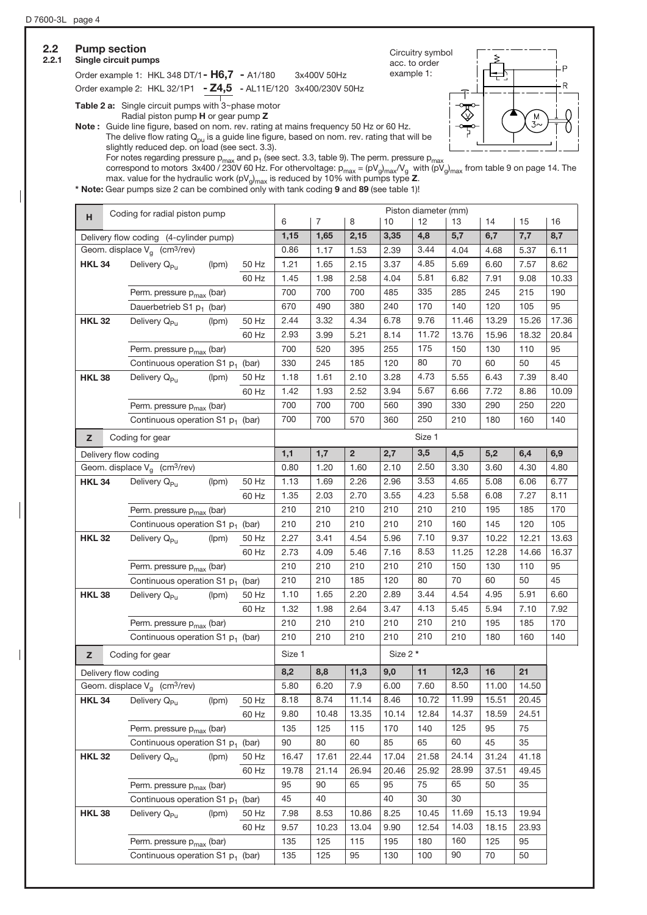| <b>Pump section</b><br>Single circuit pumps |                                                                                                                                                                                                                                                                                                                                                                                                    |       |       |            |             |                |            | Circuitry symbol<br>acc. to order |            |            |            |            |
|---------------------------------------------|----------------------------------------------------------------------------------------------------------------------------------------------------------------------------------------------------------------------------------------------------------------------------------------------------------------------------------------------------------------------------------------------------|-------|-------|------------|-------------|----------------|------------|-----------------------------------|------------|------------|------------|------------|
|                                             | Order example 1: HKL 348 DT/1 - H6,7 - A1/180<br>Order example 2: HKL 32/1P1 - Z4,5 - AL11E/120 3x400/230V 50Hz                                                                                                                                                                                                                                                                                    |       |       |            | 3x400V 50Hz |                | example 1: |                                   |            |            |            |            |
|                                             | Table 2 a: Single circuit pumps with $3$ ~phase motor                                                                                                                                                                                                                                                                                                                                              |       |       |            |             |                |            |                                   |            |            |            |            |
|                                             | Radial piston pump H or gear pump Z<br>Note: Guide line figure, based on nom. rev. rating at mains frequency 50 Hz or 60 Hz.<br>The delive flow rating $Q_{\text{pu}}$ is a guide line figure, based on nom. rev. rating that will be<br>slightly reduced dep. on load (see sect. 3.3).<br>For notes regarding pressure $p_{max}$ and $p_1$ (see sect. 3.3, table 9). The perm. pressure $p_{max}$ |       |       |            |             |                |            |                                   |            |            | M          |            |
|                                             | correspond to motors 3x400 / 230V 60 Hz. For othervoltage: $p_{max} = (pV_q)_{max}/V_q$ with $(pV_q)_{max}$ from table 9 on page 14. The<br>max. value for the hydraulic work ( $pV_q$ <sub>max</sub> is reduced by 10% with pumps type <b>Z</b> .<br>* Note: Gear pumps size 2 can be combined only with tank coding 9 and 89 (see table 1)!                                                      |       |       |            |             |                |            |                                   |            |            |            |            |
| н                                           | Coding for radial piston pump                                                                                                                                                                                                                                                                                                                                                                      |       |       | 6          | 7           | 8              | 10         | Piston diameter (mm)<br>12        | 13         | 14         | 15         | 16         |
|                                             | Delivery flow coding (4-cylinder pump)                                                                                                                                                                                                                                                                                                                                                             |       |       | 1,15       | 1,65        | 2,15           | 3,35       | 4,8                               | 5,7        | 6,7        | 7,7        | 8,7        |
|                                             | Geom. displace $V_a$ (cm <sup>3</sup> /rev)                                                                                                                                                                                                                                                                                                                                                        |       |       | 0.86       | 1.17        | 1.53           | 2.39       | 3.44                              | 4.04       | 4.68       | 5.37       | 6.11       |
| <b>HKL 34</b>                               | Delivery Q <sub>Pu</sub>                                                                                                                                                                                                                                                                                                                                                                           | (lpm) | 50 Hz | 1.21       | 1.65        | 2.15           | 3.37       | 4.85                              | 5.69       | 6.60       | 7.57       | 8.62       |
|                                             |                                                                                                                                                                                                                                                                                                                                                                                                    |       | 60 Hz | 1.45       | 1.98        | 2.58           | 4.04       | 5.81                              | 6.82       | 7.91       | 9.08       | 10.33      |
|                                             | Perm. pressure $p_{max}$ (bar)                                                                                                                                                                                                                                                                                                                                                                     |       |       | 700        | 700         | 700            | 485        | 335                               | 285        | 245        | 215        | 190        |
|                                             | Dauerbetrieb S1 p <sub>1</sub> (bar)                                                                                                                                                                                                                                                                                                                                                               |       |       | 670        | 490         | 380            | 240        | 170                               | 140        | 120        | 105        | 95         |
| <b>HKL 32</b>                               | Delivery Q <sub>Pu</sub>                                                                                                                                                                                                                                                                                                                                                                           | (lpm) | 50 Hz | 2.44       | 3.32        | 4.34           | 6.78       | 9.76                              | 11.46      | 13.29      | 15.26      | 17.36      |
|                                             |                                                                                                                                                                                                                                                                                                                                                                                                    |       | 60 Hz | 2.93       | 3.99        | 5.21           | 8.14       | 11.72                             | 13.76      | 15.96      | 18.32      | 20.84      |
|                                             | Perm. pressure $p_{max}$ (bar)                                                                                                                                                                                                                                                                                                                                                                     |       |       | 700        | 520         | 395            | 255        | 175                               | 150        | 130        | 110        | 95         |
|                                             | Continuous operation S1 p <sub>1</sub> (bar)                                                                                                                                                                                                                                                                                                                                                       |       |       | 330        | 245         | 185            | 120        | 80                                | 70         | 60         | 50         | 45         |
| <b>HKL 38</b>                               | Delivery Q <sub>Pu</sub>                                                                                                                                                                                                                                                                                                                                                                           | (lpm) | 50 Hz | 1.18       | 1.61        | 2.10           | 3.28       | 4.73                              | 5.55       | 6.43       | 7.39       | 8.40       |
|                                             |                                                                                                                                                                                                                                                                                                                                                                                                    |       | 60 Hz | 1.42       | 1.93        | 2.52           | 3.94       | 5.67                              | 6.66       | 7.72       | 8.86       | 10.09      |
|                                             | Perm. pressure p <sub>max</sub> (bar)                                                                                                                                                                                                                                                                                                                                                              |       |       | 700        | 700         | 700            | 560        | 390                               | 330        | 290        | 250        | 220        |
|                                             | Continuous operation S1 $p_1$ (bar)                                                                                                                                                                                                                                                                                                                                                                |       |       | 700        | 700         | 570            | 360        | 250                               | 210        | 180        | 160        | 140        |
| z                                           | Coding for gear                                                                                                                                                                                                                                                                                                                                                                                    |       |       |            |             |                |            | Size 1                            |            |            |            |            |
|                                             |                                                                                                                                                                                                                                                                                                                                                                                                    |       |       | 1,1        | 1,7         | $\overline{2}$ | 2,7        | 3,5                               | 4,5        | 5,2        | 6,4        | 6,9        |
|                                             | Delivery flow coding<br>Geom. displace $V_a$ (cm <sup>3</sup> /rev)                                                                                                                                                                                                                                                                                                                                |       |       | 0.80       | 1.20        | 1.60           | 2.10       | 2.50                              | 3.30       | 3.60       | 4.30       | 4.80       |
| <b>HKL 34</b>                               | Delivery Q <sub>Pu</sub>                                                                                                                                                                                                                                                                                                                                                                           | (lpm) | 50 Hz | 1.13       | 1.69        | 2.26           | 2.96       | 3.53                              | 4.65       | 5.08       | 6.06       | 6.77       |
|                                             |                                                                                                                                                                                                                                                                                                                                                                                                    |       | 60 Hz | 1.35       | 2.03        | 2.70           | 3.55       | 4.23                              | 5.58       | 6.08       | 7.27       | 8.11       |
|                                             | Perm. pressure p <sub>max</sub> (bar)                                                                                                                                                                                                                                                                                                                                                              |       |       | 210        | 210         | 210            | 210        | 210                               | 210        | 195        | 185        | 170        |
|                                             | Continuous operation S1 p <sub>1</sub> (bar)                                                                                                                                                                                                                                                                                                                                                       |       |       | 210        | 210         | 210            | 210        | 210                               | 160        | 145        | 120        | 105        |
| <b>HKL 32</b>                               | Delivery Q <sub>Pu</sub>                                                                                                                                                                                                                                                                                                                                                                           | (lpm) | 50 Hz | 2.27       | 3.41        | 4.54           | 5.96       | 7.10                              | 9.37       | 10.22      | 12.21      | 13.63      |
|                                             |                                                                                                                                                                                                                                                                                                                                                                                                    |       | 60 Hz | 2.73       | 4.09        | 5.46           | 7.16       | 8.53                              | 11.25      | 12.28      | 14.66      | 16.37      |
|                                             |                                                                                                                                                                                                                                                                                                                                                                                                    |       |       |            |             |                |            | 210                               |            |            |            |            |
|                                             | Perm. pressure $p_{max}$ (bar)<br>Continuous operation S1 p <sub>1</sub> (bar)                                                                                                                                                                                                                                                                                                                     |       |       | 210<br>210 | 210<br>210  | 210<br>185     | 210<br>120 | 80                                | 150<br>70  | 130<br>60  | 110<br>50  | 95<br>45   |
|                                             |                                                                                                                                                                                                                                                                                                                                                                                                    |       |       | 1.10       | 1.65        | 2.20           | 2.89       | 3.44                              | 4.54       | 4.95       | 5.91       | 6.60       |
| <b>HKL 38</b>                               | Delivery Q <sub>Pu</sub>                                                                                                                                                                                                                                                                                                                                                                           | (lpm) | 50 Hz | 1.32       |             |                | 3.47       | 4.13                              |            | 5.94       |            | 7.92       |
|                                             |                                                                                                                                                                                                                                                                                                                                                                                                    |       | 60 Hz |            | 1.98        | 2.64           |            |                                   | 5.45       |            | 7.10       |            |
|                                             | Perm. pressure p <sub>max</sub> (bar)<br>Continuous operation S1 $p_1$ (bar)                                                                                                                                                                                                                                                                                                                       |       |       | 210<br>210 | 210<br>210  | 210<br>210     | 210<br>210 | 210<br>210                        | 210<br>210 | 195<br>180 | 185<br>160 | 170<br>140 |
| Z.                                          | Coding for gear                                                                                                                                                                                                                                                                                                                                                                                    |       |       | Size 1     |             |                | Size 2 *   |                                   |            |            |            |            |
|                                             | Delivery flow coding                                                                                                                                                                                                                                                                                                                                                                               |       |       | 8,2        | 8,8         | 11,3           | 9,0        | 11                                | 12,3       | 16         | 21         |            |
|                                             | Geom. displace $V_q$ (cm <sup>3</sup> /rev)                                                                                                                                                                                                                                                                                                                                                        |       |       | 5.80       | 6.20        | 7.9            | 6.00       | 7.60                              | 8.50       | 11.00      | 14.50      |            |
| <b>HKL 34</b>                               | Delivery Q <sub>Pu</sub>                                                                                                                                                                                                                                                                                                                                                                           | (lpm) | 50 Hz | 8.18       | 8.74        | 11.14          | 8.46       | 10.72                             | 11.99      | 15.51      | 20.45      |            |
|                                             |                                                                                                                                                                                                                                                                                                                                                                                                    |       | 60 Hz | 9.80       | 10.48       | 13.35          | 10.14      | 12.84                             | 14.37      | 18.59      | 24.51      |            |
|                                             | Perm. pressure p <sub>max</sub> (bar)                                                                                                                                                                                                                                                                                                                                                              |       |       | 135        | 125         | 115            | 170        | 140                               | 125        | 95         | 75         |            |
|                                             | Continuous operation S1 $p_1$ (bar)                                                                                                                                                                                                                                                                                                                                                                |       |       | 90         | 80          | 60             | 85         | 65                                | 60         | 45         | 35         |            |
| <b>HKL 32</b>                               | Delivery Q <sub>Pu</sub>                                                                                                                                                                                                                                                                                                                                                                           | (lpm) | 50 Hz | 16.47      | 17.61       | 22.44          | 17.04      | 21.58                             | 24.14      | 31.24      | 41.18      |            |
|                                             |                                                                                                                                                                                                                                                                                                                                                                                                    |       |       | 19.78      | 21.14       | 26.94          | 20.46      | 25.92                             | 28.99      | 37.51      | 49.45      |            |
|                                             |                                                                                                                                                                                                                                                                                                                                                                                                    |       | 60 Hz | 95         |             | 65             | 95         | 75                                | 65         |            |            |            |
|                                             | Perm. pressure $p_{max}$ (bar)                                                                                                                                                                                                                                                                                                                                                                     |       |       |            | 90          |                |            |                                   |            | 50         | 35         |            |
|                                             | Continuous operation S1 p <sub>1</sub> (bar)                                                                                                                                                                                                                                                                                                                                                       |       |       | 45         | 40          |                | 40         | 30                                | 30         |            |            |            |
| <b>HKL 38</b>                               | Delivery Q <sub>Pu</sub>                                                                                                                                                                                                                                                                                                                                                                           | (lpm) | 50 Hz | 7.98       | 8.53        | 10.86          | 8.25       | 10.45                             | 11.69      | 15.13      | 19.94      |            |
|                                             |                                                                                                                                                                                                                                                                                                                                                                                                    |       |       |            |             |                |            |                                   |            |            |            |            |
|                                             |                                                                                                                                                                                                                                                                                                                                                                                                    |       | 60 Hz | 9.57       | 10.23       | 13.04          | 9.90       | 12.54                             | 14.03      | 18.15      | 23.93      |            |
|                                             | Perm. pressure $p_{max}$ (bar)<br>Continuous operation S1 p <sub>1</sub> (bar)                                                                                                                                                                                                                                                                                                                     |       |       | 135<br>135 | 125<br>125  | 115<br>95      | 195<br>130 | 180<br>100                        | 160<br>90  | 125<br>70  | 95<br>50   |            |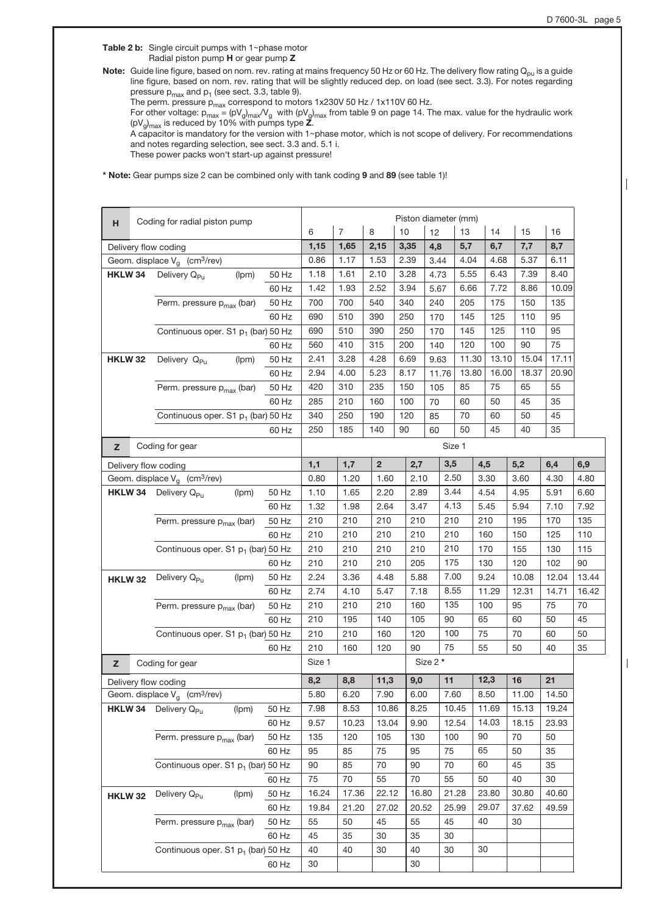Table 2 b: Single circuit pumps with  $1$ ~phase motor Radial piston pump H or gear pump Z

Note: Guide line figure, based on nom. rev. rating at mains frequency 50 Hz or 60 Hz. The delivery flow rating  $Q_{pu}$  is a guide line figure, based on nom. rev. rating that will be slightly reduced dep. on load (see sect. 3.3). For notes regarding pressure  $p_{max}$  and  $p_1$  (see sect. 3.3, table 9).

The perm. pressure  $p_{max}$  correspond to motors 1x230V 50 Hz / 1x110V 60 Hz.

For other voltage:  $p_{max}$  = (pV $_{g})_{max}$ V $_{g}$  with (pV $_{g})_{max}$  from table 9 on page 14. The max. value for the hydraulic work  $(pV_g)_{max}$  is reduced by 10% with pumps type **Z**.

A capacitor is mandatory for the version with 1~phase motor, which is not scope of delivery. For recommendations and notes regarding selection, see sect. 3.3 and. 5.1 i.

These power packs won't start-up against pressure!

\* Note: Gear pumps size 2 can be combined only with tank coding 9 and 89 (see table 1)!

| н              | Coding for radial piston pump                  |       |        |                |                |       |          | Piston diameter (mm) |       |       |       |       |
|----------------|------------------------------------------------|-------|--------|----------------|----------------|-------|----------|----------------------|-------|-------|-------|-------|
|                |                                                |       | 6      | $\overline{7}$ | 8              | 10    | 12       | 13                   | 14    | 15    | 16    |       |
|                | Delivery flow coding                           |       | 1,15   | 1,65           | 2,15           | 3,35  | 4,8      | 5,7                  | 6,7   | 7,7   | 8,7   |       |
|                | Geom. displace $V_g$ (cm <sup>3</sup> /rev)    |       | 0.86   | 1.17           | 1.53           | 2.39  | 3.44     | 4.04                 | 4.68  | 5.37  | 6.11  |       |
| HKLW 34        | Delivery Q <sub>Pu</sub><br>(Ipm)              | 50 Hz | 1.18   | 1.61           | 2.10           | 3.28  | 4.73     | 5.55                 | 6.43  | 7.39  | 8.40  |       |
|                |                                                | 60 Hz | 1.42   | 1.93           | 2.52           | 3.94  | 5.67     | 6.66                 | 7.72  | 8.86  | 10.09 |       |
|                | Perm. pressure p <sub>max</sub> (bar)          | 50 Hz | 700    | 700            | 540            | 340   | 240      | 205                  | 175   | 150   | 135   |       |
|                |                                                | 60 Hz | 690    | 510            | 390            | 250   | 170      | 145                  | 125   | 110   | 95    |       |
|                | Continuous oper. S1 p <sub>1</sub> (bar) 50 Hz |       | 690    | 510            | 390            | 250   | 170      | 145                  | 125   | 110   | 95    |       |
|                |                                                | 60 Hz | 560    | 410            | 315            | 200   | 140      | 120                  | 100   | 90    | 75    |       |
| <b>HKLW 32</b> | Delivery Q <sub>Pu</sub><br>(lpm)              | 50 Hz | 2.41   | 3.28           | 4.28           | 6.69  | 9.63     | 11.30                | 13.10 | 15.04 | 17.11 |       |
|                |                                                | 60 Hz | 2.94   | 4.00           | 5.23           | 8.17  | 11.76    | 13.80                | 16.00 | 18.37 | 20.90 |       |
|                | Perm. pressure p <sub>max</sub> (bar)          | 50 Hz | 420    | 310            | 235            | 150   | 105      | 85                   | 75    | 65    | 55    |       |
|                |                                                | 60 Hz | 285    | 210            | 160            | 100   | 70       | 60                   | 50    | 45    | 35    |       |
|                | Continuous oper. S1 p <sub>1</sub> (bar) 50 Hz |       | 340    | 250            | 190            | 120   | 85       | 70                   | 60    | 50    | 45    |       |
|                |                                                | 60 Hz | 250    | 185            | 140            | 90    | 60       | 50                   | 45    | 40    | 35    |       |
| Z              | Coding for gear                                |       |        |                |                |       |          | Size 1               |       |       |       |       |
|                | Delivery flow coding                           |       | 1,1    | 1,7            | $\overline{2}$ | 2,7   |          | 3,5                  | 4,5   | 5,2   | 6,4   | 6,9   |
|                | Geom. displace $V_g$ (cm <sup>3</sup> /rev)    |       | 0.80   | 1.20           | 1.60           | 2.10  |          | 2.50                 | 3.30  | 3.60  | 4.30  | 4.80  |
|                | <b>HKLW 34</b> Delivery $Q_{PU}$<br>(lpm)      | 50 Hz | 1.10   | 1.65           | 2.20           | 2.89  |          | 3.44                 | 4.54  | 4.95  | 5.91  | 6.60  |
|                |                                                | 60 Hz | 1.32   | 1.98           | 2.64           | 3.47  |          | 4.13                 | 5.45  | 5.94  | 7.10  | 7.92  |
|                | Perm. pressure p <sub>max</sub> (bar)          | 50 Hz | 210    | 210            | 210            | 210   |          | 210                  | 210   | 195   | 170   | 135   |
|                |                                                | 60 Hz | 210    | 210            | 210            | 210   |          | 210                  | 160   | 150   | 125   | 110   |
|                | Continuous oper. S1 p <sub>1</sub> (bar) 50 Hz |       | 210    | 210            | 210            | 210   |          | 210                  | 170   | 155   | 130   | 115   |
|                |                                                | 60 Hz | 210    | 210            | 210            | 205   |          | 175                  | 130   | 120   | 102   | 90    |
|                | Delivery Q <sub>Pu</sub><br>(lpm)              | 50 Hz | 2.24   | 3.36           | 4.48           | 5.88  |          | 7.00                 | 9.24  | 10.08 | 12.04 | 13.44 |
| <b>HKLW 32</b> |                                                | 60 Hz | 2.74   | 4.10           | 5.47           | 7.18  |          | 8.55                 | 11.29 | 12.31 | 14.71 | 16.42 |
|                | Perm. pressure p <sub>max</sub> (bar)          | 50 Hz | 210    | 210            | 210            | 160   |          | 135                  | 100   | 95    | 75    | 70    |
|                |                                                | 60 Hz | 210    | 195            | 140            | 105   |          | 90                   | 65    | 60    | 50    | 45    |
|                | Continuous oper. S1 p <sub>1</sub> (bar) 50 Hz |       | 210    | 210            | 160            | 120   |          | 100                  | 75    | 70    | 60    | 50    |
|                |                                                | 60 Hz | 210    | 160            | 120            | 90    |          | 75                   | 55    | 50    | 40    | 35    |
| $\mathsf{z}$   | Coding for gear                                |       | Size 1 |                |                |       | Size 2 * |                      |       |       |       |       |
|                |                                                |       |        |                |                |       |          |                      |       |       |       |       |
|                | Delivery flow coding                           |       | 8,2    | 8,8            | 11,3           | 9,0   |          | 11                   | 12,3  | 16    | 21    |       |
|                | Geom. displace $V_g$ (cm <sup>3</sup> /rev)    |       | 5.80   | 6.20           | 7.90           | 6.00  |          | 7.60                 | 8.50  | 11.00 | 14.50 |       |
|                | <b>HKLW 34</b> Delivery $Q_{Pu}$<br>(lpm)      | 50 Hz | 7.98   | 8.53           | 10.86          | 8.25  |          | 10.45                | 11.69 | 15.13 | 19.24 |       |
|                |                                                | 60 Hz | 9.57   | 10.23          | 13.04          | 9.90  |          | 12.54                | 14.03 | 18.15 | 23.93 |       |
|                | Perm. pressure p <sub>max</sub> (bar)          | 50 Hz | 135    | 120            | 105            | 130   |          | 100                  | 90    | 70    | 50    |       |
|                |                                                | 60 Hz | 95     | 85             | 75             | 95    |          | 75                   | 65    | 50    | 35    |       |
|                | Continuous oper. S1 p <sub>1</sub> (bar) 50 Hz |       | 90     | 85             | 70             | 90    |          | 70                   | 60    | 45    | 35    |       |
|                |                                                | 60 Hz | 75     | 70             | 55             | 70    |          | 55                   | 50    | 40    | 30    |       |
| <b>HKLW 32</b> | Delivery Q <sub>Pu</sub><br>(lpm)              | 50 Hz | 16.24  | 17.36          | 22.12          | 16.80 |          | 21.28                | 23.80 | 30.80 | 40.60 |       |
|                |                                                | 60 Hz | 19.84  | 21.20          | 27.02          |       | 20.52    | 25.99                | 29.07 | 37.62 | 49.59 |       |
|                | Perm. pressure p <sub>max</sub> (bar)          | 50 Hz | 55     | 50             | 45             | 55    |          | 45                   | 40    | 30    |       |       |
|                |                                                | 60 Hz | 45     | 35             | 30             | 35    |          | 30                   |       |       |       |       |
|                | Continuous oper. S1 p <sub>1</sub> (bar) 50 Hz |       | 40     | 40             | 30             | 40    |          | 30                   | 30    |       |       |       |
|                |                                                | 60 Hz | 30     |                |                | 30    |          |                      |       |       |       |       |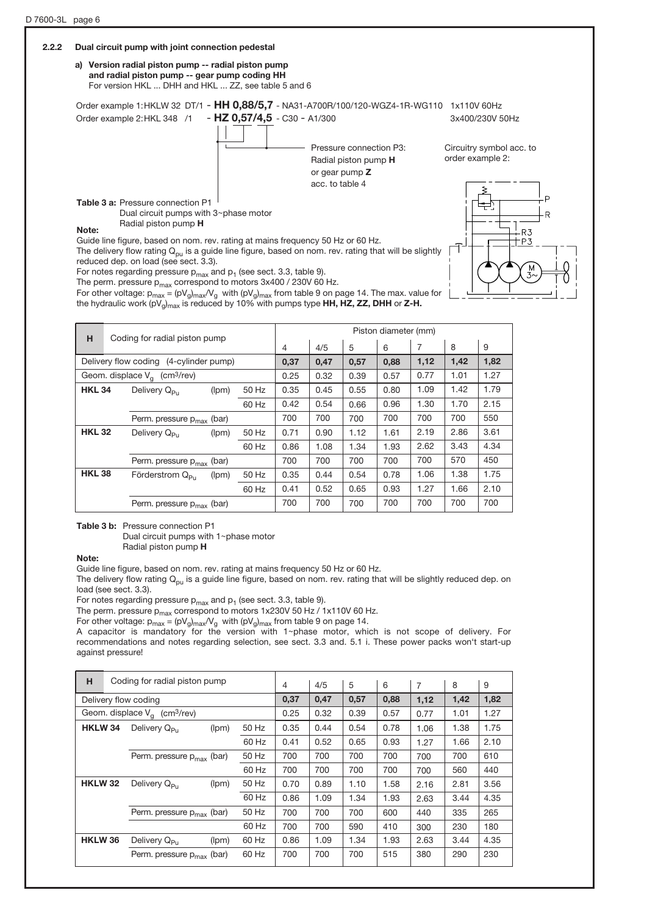#### 2.2.2 Dual circuit pump with joint connection pedestal a) Version radial piston pump -- radial piston pump and radial piston pump -- gear pump coding HH For version HKL ... DHH and HKL ... ZZ, see table 5 and 6 Order example 1:HKLW 32 DT/1 - HH 0,88/5,7 - NA31-A700R/100/120-WGZ4-1R-WG110 1x110V 60Hz Order example 2: HKL 348 /1 - HZ 0,57/4,5 - C30 - A1/300 3x400/230V 50Hz Pressure connection P3: Circuitry symbol acc. to order example 2: Radial piston pump H or gear pump Z acc. to table 4 Table 3 a: Pressure connection P1 Dual circuit pumps with  $3$ ~phase motor Radial piston pump H Note: R3 Guide line figure, based on nom. rev. rating at mains frequency 50 Hz or 60 Hz.  $+P3$ The delivery flow rating  $Q_{pu}$  is a guide line figure, based on nom. rev. rating that will be slightly reduced dep. on load (see sect. 3.3).

For notes regarding pressure  $p_{max}$  and  $p_1$  (see sect. 3.3, table 9).

The perm. pressure  $p_{max}$  correspond to motors 3x400 / 230V 60 Hz.

For other voltage:  $p_{max} = (pV_g)_{max}/V_g$  with  $(pV_g)_{max}$  from table 9 on page 14. The max. value for the hydraulic work (pV<sub>g</sub>)<sub>max</sub> is reduced by 10% with pumps type HH, HZ, ZZ, DHH or Z-H.

| н             |                                            | Coding for radial piston pump               |       |       |      |      |      | Piston diameter (mm) |                |      |      |
|---------------|--------------------------------------------|---------------------------------------------|-------|-------|------|------|------|----------------------|----------------|------|------|
|               |                                            |                                             |       |       | 4    | 4/5  | 5    | 6                    | $\overline{7}$ | 8    | 9    |
|               |                                            | Delivery flow coding (4-cylinder pump)      |       |       | 0,37 | 0,47 | 0,57 | 0.88                 | 1,12           | 1,42 | 1,82 |
|               |                                            | Geom. displace $V_a$ (cm <sup>3</sup> /rev) |       |       | 0.25 | 0.32 | 0.39 | 0.57                 | 0.77           | 1.01 | 1.27 |
| <b>HKL 34</b> | Delivery Q <sub>Pu</sub><br>50 Hz<br>(lpm) |                                             |       |       |      | 0.45 | 0.55 | 0.80                 | 1.09           | 1.42 | 1.79 |
|               |                                            |                                             |       | 60 Hz | 0.42 | 0.54 | 0.66 | 0.96                 | 1.30           | 1.70 | 2.15 |
|               |                                            | Perm. pressure $p_{max}$ (bar)              |       |       | 700  | 700  | 700  | 700                  | 700            | 700  | 550  |
| <b>HKL 32</b> |                                            | Delivery Q <sub>pu</sub>                    | (lpm) | 50 Hz | 0.71 | 0.90 | 1.12 | 1.61                 | 2.19           | 2.86 | 3.61 |
|               |                                            |                                             |       | 60 Hz | 0.86 | 1.08 | 1.34 | 1.93                 | 2.62           | 3.43 | 4.34 |
|               |                                            | Perm. pressure $p_{max}$ (bar)              |       |       | 700  | 700  | 700  | 700                  | 700            | 570  | 450  |
| <b>HKL 38</b> |                                            | Förderstrom Q <sub>Pu</sub>                 | (lpm) | 50 Hz | 0.35 | 0.44 | 0.54 | 0.78                 | 1.06           | 1.38 | 1.75 |
|               | 60 Hz                                      |                                             |       |       | 0.41 | 0.52 | 0.65 | 0.93                 | 1.27           | 1.66 | 2.10 |
|               |                                            | Perm. pressure $p_{max}$ (bar)              |       |       | 700  | 700  | 700  | 700                  | 700            | 700  | 700  |

Table 3 b: Pressure connection P1

Dual circuit pumps with 1~phase motor Radial piston pump H

Note:

Guide line figure, based on nom. rev. rating at mains frequency 50 Hz or 60 Hz.

The delivery flow rating  $Q_{\text{pu}}$  is a guide line figure, based on nom. rev. rating that will be slightly reduced dep. on load (see sect. 3.3).

For notes regarding pressure  $p_{max}$  and  $p_1$  (see sect. 3.3, table 9).

The perm. pressure  $p_{max}$  correspond to motors 1x230V 50 Hz  $/$  1x110V 60 Hz.

For other voltage:  $p_{max} = (pV_g)_{max}/V_g$  with  $(pV_g)_{max}$  from table 9 on page 14.

A capacitor is mandatory for the version with  $1$ ~phase motor, which is not scope of delivery. For recommendations and notes regarding selection, see sect. 3.3 and. 5.1 i. These power packs won't start-up against pressure!

| н              | Coding for radial piston pump               |       |       | 4    | 4/5  | 5    | 6    | 7    | 8    | 9    |
|----------------|---------------------------------------------|-------|-------|------|------|------|------|------|------|------|
|                | Delivery flow coding                        |       |       | 0.37 | 0,47 | 0,57 | 0,88 | 1,12 | 1,42 | 1,82 |
|                | Geom. displace $V_a$ (cm <sup>3</sup> /rev) |       |       | 0.25 | 0.32 | 0.39 | 0.57 | 0.77 | 1.01 | 1.27 |
| HKLW 34        | Delivery Q <sub>Pu</sub>                    | (lpm) | 50 Hz | 0.35 | 0.44 | 0.54 | 0.78 | 1.06 | 1.38 | 1.75 |
|                |                                             |       | 60 Hz | 0.41 | 0.52 | 0.65 | 0.93 | 1.27 | 1.66 | 2.10 |
|                | Perm. pressure $p_{max}$ (bar)              |       | 50 Hz | 700  | 700  | 700  | 700  | 700  | 700  | 610  |
|                |                                             |       | 60 Hz | 700  | 700  | 700  | 700  | 700  | 560  | 440  |
| <b>HKLW 32</b> | Delivery Q <sub>Pu</sub>                    | (lpm) | 50 Hz | 0.70 | 0.89 | 1.10 | 1.58 | 2.16 | 2.81 | 3.56 |
|                |                                             |       | 60 Hz | 0.86 | 1.09 | 1.34 | 1.93 | 2.63 | 3.44 | 4.35 |
|                | Perm. pressure $p_{max}$ (bar)              |       | 50 Hz | 700  | 700  | 700  | 600  | 440  | 335  | 265  |
|                |                                             |       | 60 Hz | 700  | 700  | 590  | 410  | 300  | 230  | 180  |
| <b>HKLW 36</b> | Delivery Q <sub>Pu</sub>                    | (lpm) | 60 Hz | 0.86 | 1.09 | 1.34 | 1.93 | 2.63 | 3.44 | 4.35 |
|                | Perm. pressure $p_{max}$ (bar)              |       | 60 Hz | 700  | 700  | 700  | 515  | 380  | 290  | 230  |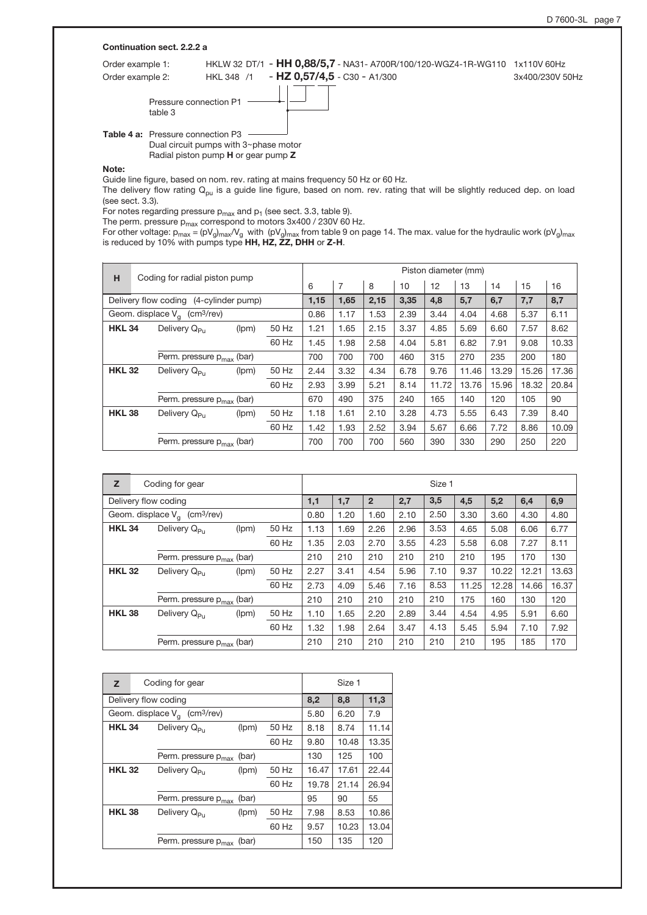|                  | Continuation sect. 2.2.2 a               |                                                   |                                                                            |                 |
|------------------|------------------------------------------|---------------------------------------------------|----------------------------------------------------------------------------|-----------------|
| Order example 1: |                                          |                                                   | HKLW 32 DT/1 - HH 0,88/5,7 - NA31- A700R/100/120-WGZ4-1R-WG110 1x110V 60Hz |                 |
| Order example 2: |                                          | HKL 348 /1                                        | $-$ HZ 0,57/4,5 - C30 - A1/300                                             | 3x400/230V 50Hz |
|                  | Pressure connection P1<br>table 3        |                                                   |                                                                            |                 |
|                  | <b>Table 4 a:</b> Pressure connection P3 |                                                   |                                                                            |                 |
|                  |                                          | Dual circuit pumps with 3~phase motor             |                                                                            |                 |
|                  |                                          | Radial piston pump <b>H</b> or gear pump <b>Z</b> |                                                                            |                 |

Note:

Guide line figure, based on nom. rev. rating at mains frequency 50 Hz or 60 Hz.

The delivery flow rating  $Q_{pu}$  is a guide line figure, based on nom. rev. rating that will be slightly reduced dep. on load (see sect. 3.3).

For notes regarding pressure  $p_{max}$  and  $p_1$  (see sect. 3.3, table 9).

The perm. pressure  $p_{max}$  correspond to motors 3x400 / 230V 60 Hz.

For other voltage: p<sub>max</sub> = (pV<sub>g</sub>)<sub>max</sub>/V<sub>g</sub> with (pV<sub>g</sub>)<sub>max</sub> from table 9 on page 14. The max. value for the hydraulic work (pV<sub>g</sub>)<sub>max</sub><br>is reduced by 10% with pumps type **HH, HZ, ZZ, DHH** or **Z-H**.

| н             |                                        | Coding for radial piston pump               |       |       | Piston diameter (mm) |      |      |      |       |       |       |       |       |  |
|---------------|----------------------------------------|---------------------------------------------|-------|-------|----------------------|------|------|------|-------|-------|-------|-------|-------|--|
|               |                                        |                                             |       |       | 6                    | 7    | 8    | 10   | 12    | 13    | 14    | 15    | 16    |  |
|               | Delivery flow coding (4-cylinder pump) |                                             |       |       |                      |      | 2,15 | 3,35 | 4,8   | 5,7   | 6,7   | 7,7   | 8,7   |  |
|               |                                        | Geom. displace $V_a$ (cm <sup>3</sup> /rev) |       |       | 0.86                 | 1.17 | 1.53 | 2.39 | 3.44  | 4.04  | 4.68  | 5.37  | 6.11  |  |
| <b>HKL 34</b> |                                        | Delivery Q <sub>Pu</sub>                    | (lpm) | 50 Hz | 1.21                 | 1.65 | 2.15 | 3.37 | 4.85  | 5.69  | 6.60  | 7.57  | 8.62  |  |
|               |                                        |                                             |       | 60 Hz | 1.45                 | 1.98 | 2.58 | 4.04 | 5.81  | 6.82  | 7.91  | 9.08  | 10.33 |  |
|               |                                        | Perm. pressure $p_{max}$ (bar)              |       |       | 700                  | 700  | 700  | 460  | 315   | 270   | 235   | 200   | 180   |  |
| <b>HKL 32</b> |                                        | Delivery $Q_{\text{P}_{11}}$                | (lpm) | 50 Hz | 2.44                 | 3.32 | 4.34 | 6.78 | 9.76  | 11.46 | 13.29 | 15.26 | 17.36 |  |
|               |                                        |                                             |       | 60 Hz | 2.93                 | 3.99 | 5.21 | 8.14 | 11.72 | 13.76 | 15.96 | 18.32 | 20.84 |  |
|               |                                        | Perm. pressure $p_{max}$ (bar)              |       |       | 670                  | 490  | 375  | 240  | 165   | 140   | 120   | 105   | 90    |  |
| <b>HKL38</b>  |                                        | Delivery Q <sub>Pu</sub>                    | (lpm) | 50 Hz | 1.18                 | 1.61 | 2.10 | 3.28 | 4.73  | 5.55  | 6.43  | 7.39  | 8.40  |  |
|               |                                        |                                             |       | 60 Hz | 1.42                 | 1.93 | 2.52 | 3.94 | 5.67  | 6.66  | 7.72  | 8.86  | 10.09 |  |
|               |                                        | Perm. pressure $p_{max}$ (bar)              |       |       | 700                  | 700  | 700  | 560  | 390   | 330   | 290   | 250   | 220   |  |

| z                                                             |  | Coding for gear                |       |       |      |      |                | Size 1 |      |       |       |       |       |
|---------------------------------------------------------------|--|--------------------------------|-------|-------|------|------|----------------|--------|------|-------|-------|-------|-------|
|                                                               |  | Delivery flow coding           |       |       | 1,1  | 1,7  | $\overline{2}$ | 2,7    | 3,5  | 4,5   | 5,2   | 6,4   | 6,9   |
| $\left($ cm $3$ /rev $\right)$<br>Geom. displace $V_{\alpha}$ |  |                                |       |       | 0.80 | 1.20 | 1.60           | 2.10   | 2.50 | 3.30  | 3.60  | 4.30  | 4.80  |
| <b>HKL 34</b>                                                 |  | Delivery Q <sub>Pu</sub>       | (lpm) | 50 Hz | 1.13 | 1.69 | 2.26           | 2.96   | 3.53 | 4.65  | 5.08  | 6.06  | 6.77  |
|                                                               |  |                                |       | 60 Hz | 1.35 | 2.03 | 2.70           | 3.55   | 4.23 | 5.58  | 6.08  | 7.27  | 8.11  |
|                                                               |  | Perm. pressure $p_{max}$ (bar) |       |       | 210  | 210  | 210            | 210    | 210  | 210   | 195   | 170   | 130   |
| <b>HKL 32</b>                                                 |  | Delivery $Q_{\mathsf{P}_{11}}$ | (lpm) | 50 Hz | 2.27 | 3.41 | 4.54           | 5.96   | 7.10 | 9.37  | 10.22 | 12.21 | 13.63 |
|                                                               |  |                                |       | 60 Hz | 2.73 | 4.09 | 5.46           | 7.16   | 8.53 | 11.25 | 12.28 | 14.66 | 16.37 |
|                                                               |  | Perm. pressure $p_{max}$ (bar) |       |       | 210  | 210  | 210            | 210    | 210  | 175   | 160   | 130   | 120   |
| <b>HKL 38</b>                                                 |  | Delivery Q <sub>Pu</sub>       | (lpm) | 50 Hz | 1.10 | 1.65 | 2.20           | 2.89   | 3.44 | 4.54  | 4.95  | 5.91  | 6.60  |
|                                                               |  |                                |       | 60 Hz | 1.32 | 1.98 | 2.64           | 3.47   | 4.13 | 5.45  | 5.94  | 7.10  | 7.92  |
|                                                               |  | Perm. pressure $p_{max}$ (bar) |       |       | 210  | 210  | 210            | 210    | 210  | 210   | 195   | 185   | 170   |

| z             | Coding for gear                             |       |       |       | Size 1 |       |
|---------------|---------------------------------------------|-------|-------|-------|--------|-------|
|               | Delivery flow coding                        |       |       | 8,2   | 8,8    | 11,3  |
|               | Geom. displace $V_q$ (cm <sup>3</sup> /rev) |       |       | 5.80  | 6.20   | 7.9   |
| <b>HKL 34</b> | Delivery Q <sub>Pu</sub>                    | (lpm) | 50 Hz | 8.18  | 8.74   | 11.14 |
|               |                                             |       | 60 Hz | 9.80  | 10.48  | 13.35 |
|               | Perm. pressure p <sub>max</sub>             | (bar) |       | 130   | 125    | 100   |
| <b>HKL 32</b> | Delivery Q <sub>Pu</sub>                    | (lpm) | 50 Hz | 16.47 | 17.61  | 22.44 |
|               |                                             |       | 60 Hz | 19.78 | 21.14  | 26.94 |
|               | Perm. pressure p <sub>max</sub>             | (bar) |       | 95    | 90     | 55    |
| <b>HKL38</b>  | Delivery Q <sub>pu</sub>                    | (lpm) | 50 Hz | 7.98  | 8.53   | 10.86 |
|               |                                             |       | 60 Hz | 9.57  | 10.23  | 13.04 |
|               | Perm. pressure $p_{max}$ (bar)              |       |       | 150   | 135    | 120   |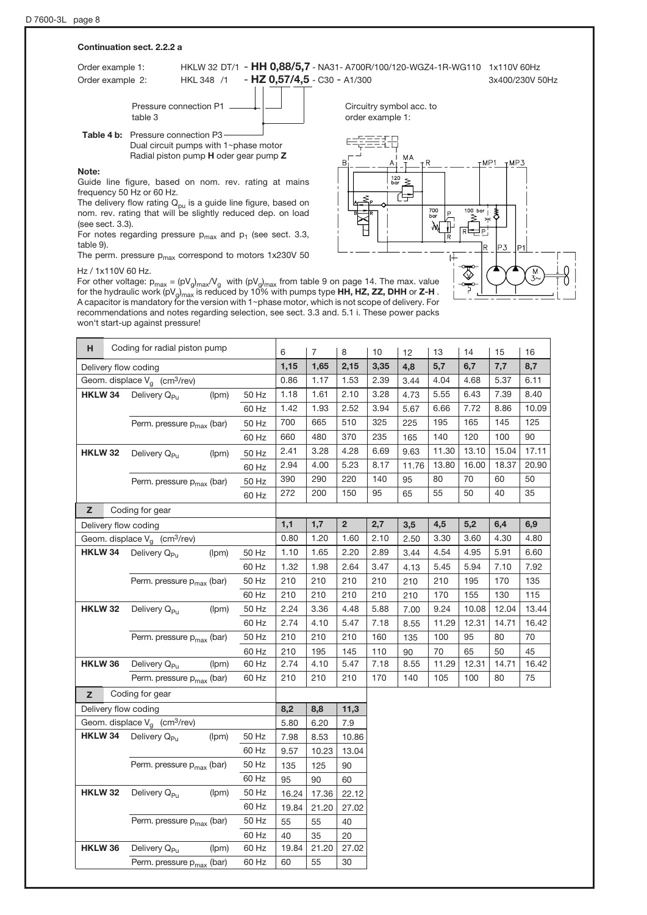#### Continuation sect. 2.2.2 a

Order example 1: HKLW 32 DT/1 - HH 0,88/5,7 - NA31- A700R/100/120-WGZ4-1R-WG110 1x110V 60Hz Order example 2: HKL 348 /1 - HZ 0.57/4.5 - C30 - A1/300 3x400/230V 50Hz

Pressure connection P1 . table 3

Table 4 b: Pressure connection P3-Dual circuit pumps with 1~phase motor Radial piston pump H oder gear pump Z

#### Note:

Guide line figure, based on nom. rev. rating at mains frequency 50 Hz or 60 Hz.

The delivery flow rating  $Q_{\text{pu}}$  is a guide line figure, based on nom. rev. rating that will be slightly reduced dep. on load (see sect. 3.3).

For notes regarding pressure  $p_{max}$  and  $p_1$  (see sect. 3.3, table 9).

The perm. pressure  $p_{max}$  correspond to motors 1x230V 50

#### Hz / 1x110V 60 Hz.

For other voltage:  $p_{max} = (pV_g)_{max}/V_g$  with  $(pV_g)_{max}$  from table 9 on page 14. The max. value for the hydraulic work (pV $_{\rm g/max}$  is reduced by 10% with pumps type **HH, HZ, ZZ, DHH** or **Z-H** . A capacitor is mandatory for the version with 1~phase motor, which is not scope of delivery. For recommendations and notes regarding selection, see sect. 3.3 and. 5.1 i. These power packs won't start-up against pressure!

| н              | Coding for radial piston pump               |       |       | 6     | $\overline{7}$ | 8              | 10   | 12    | 13    | 14    | 15    | 16    |
|----------------|---------------------------------------------|-------|-------|-------|----------------|----------------|------|-------|-------|-------|-------|-------|
|                | Delivery flow coding                        |       |       | 1,15  | 1,65           | 2,15           | 3,35 | 4,8   | 5,7   | 6,7   | 7,7   | 8,7   |
|                | Geom. displace $V_a$ (cm <sup>3</sup> /rev) |       |       | 0.86  | 1.17           | 1.53           | 2.39 | 3.44  | 4.04  | 4.68  | 5.37  | 6.11  |
| HKLW 34        | Delivery Q <sub>Pu</sub>                    | 50 Hz | 1.18  | 1.61  | 2.10           | 3.28           | 4.73 | 5.55  | 6.43  | 7.39  | 8.40  |       |
|                |                                             |       | 60 Hz | 1.42  | 1.93           | 2.52           | 3.94 | 5.67  | 6.66  | 7.72  | 8.86  | 10.09 |
|                | Perm. pressure $p_{max}$ (bar)              |       | 50 Hz | 700   | 665            | 510            | 325  | 225   | 195   | 165   | 145   | 125   |
|                |                                             |       | 60 Hz | 660   | 480            | 370            | 235  | 165   | 140   | 120   | 100   | 90    |
| <b>HKLW 32</b> | Delivery Q <sub>Pu</sub>                    | (lpm) | 50 Hz | 2.41  | 3.28           | 4.28           | 6.69 | 9.63  | 11.30 | 13.10 | 15.04 | 17.11 |
|                |                                             |       | 60 Hz | 2.94  | 4.00           | 5.23           | 8.17 | 11.76 | 13.80 | 16.00 | 18.37 | 20.90 |
|                | Perm. pressure p <sub>max</sub> (bar)       |       | 50 Hz | 390   | 290            | 220            | 140  | 95    | 80    | 70    | 60    | 50    |
|                |                                             |       | 60 Hz | 272   | 200            | 150            | 95   | 65    | 55    | 50    | 40    | 35    |
| z              | Coding for gear                             |       |       |       |                |                |      |       |       |       |       |       |
|                | Delivery flow coding                        |       |       | 1,1   | 1,7            | $\overline{2}$ | 2,7  | 3,5   | 4,5   | 5,2   | 6,4   | 6,9   |
|                | Geom. displace $V_a$ (cm <sup>3</sup> /rev) |       |       | 0.80  | 1.20           | 1.60           | 2.10 | 2.50  | 3.30  | 3.60  | 4.30  | 4.80  |
| HKLW 34        | Delivery Q <sub>Pu</sub>                    | (lpm) | 50 Hz | 1.10  | 1.65           | 2.20           | 2.89 | 3.44  | 4.54  | 4.95  | 5.91  | 6.60  |
|                |                                             |       | 60 Hz | 1.32  | 1.98           | 2.64           | 3.47 | 4.13  | 5.45  | 5.94  | 7.10  | 7.92  |
|                | Perm. pressure $p_{max}$ (bar)              |       | 50 Hz | 210   | 210            | 210            | 210  | 210   | 210   | 195   | 170   | 135   |
|                |                                             |       | 60 Hz | 210   | 210            | 210            | 210  | 210   | 170   | 155   | 130   | 115   |
| <b>HKLW 32</b> | Delivery Q <sub>Pu</sub>                    | (lpm) | 50 Hz | 2.24  | 3.36           | 4.48           | 5.88 | 7.00  | 9.24  | 10.08 | 12.04 | 13.44 |
|                |                                             |       | 60 Hz | 2.74  | 4.10           | 5.47           | 7.18 | 8.55  | 11.29 | 12.31 | 14.71 | 16.42 |
|                | Perm. pressure $p_{max}$ (bar)              |       | 50 Hz | 210   | 210            | 210            | 160  | 135   | 100   | 95    | 80    | 70    |
|                |                                             |       | 60 Hz | 210   | 195            | 145            | 110  | 90    | 70    | 65    | 50    | 45    |
| HKLW 36        | Delivery Q <sub>Pu</sub>                    | (lpm) | 60 Hz | 2.74  | 4.10           | 5.47           | 7.18 | 8.55  | 11.29 | 12.31 | 14.71 | 16.42 |
|                | Perm. pressure p <sub>max</sub> (bar)       |       | 60 Hz | 210   | 210            | 210            | 170  | 140   | 105   | 100   | 80    | 75    |
| z              | Coding for gear                             |       |       |       |                |                |      |       |       |       |       |       |
|                | Delivery flow coding                        |       |       | 8,2   | 8,8            | 11,3           |      |       |       |       |       |       |
|                | Geom. displace $V_q$ (cm <sup>3</sup> /rev) |       |       | 5.80  | 6.20           | 7.9            |      |       |       |       |       |       |
| HKLW 34        | Delivery Q <sub>Pu</sub>                    | (lpm) | 50 Hz | 7.98  | 8.53           | 10.86          |      |       |       |       |       |       |
|                |                                             |       | 60 Hz | 9.57  | 10.23          | 13.04          |      |       |       |       |       |       |
|                | Perm. pressure $p_{max}$ (bar)              |       | 50 Hz | 135   | 125            | 90             |      |       |       |       |       |       |
|                |                                             |       | 60 Hz | 95    | 90             | 60             |      |       |       |       |       |       |
| <b>HKLW 32</b> | Delivery Q <sub>Pu</sub>                    | (lpm) | 50 Hz | 16.24 | 17.36          | 22.12          |      |       |       |       |       |       |
|                |                                             |       | 60 Hz | 19.84 | 21.20          | 27.02          |      |       |       |       |       |       |
|                | Perm. pressure $p_{max}$ (bar)              |       | 50 Hz | 55    | 55             | 40             |      |       |       |       |       |       |
|                |                                             |       | 60 Hz | 40    | 35             | 20             |      |       |       |       |       |       |
| HKLW 36        | Delivery Q <sub>Pu</sub>                    | (lpm) | 60 Hz | 19.84 | 21.20          | 27.02          |      |       |       |       |       |       |
|                | Perm. pressure $p_{max}$ (bar)              |       | 60 Hz | 60    | 55             | 30             |      |       |       |       |       |       |

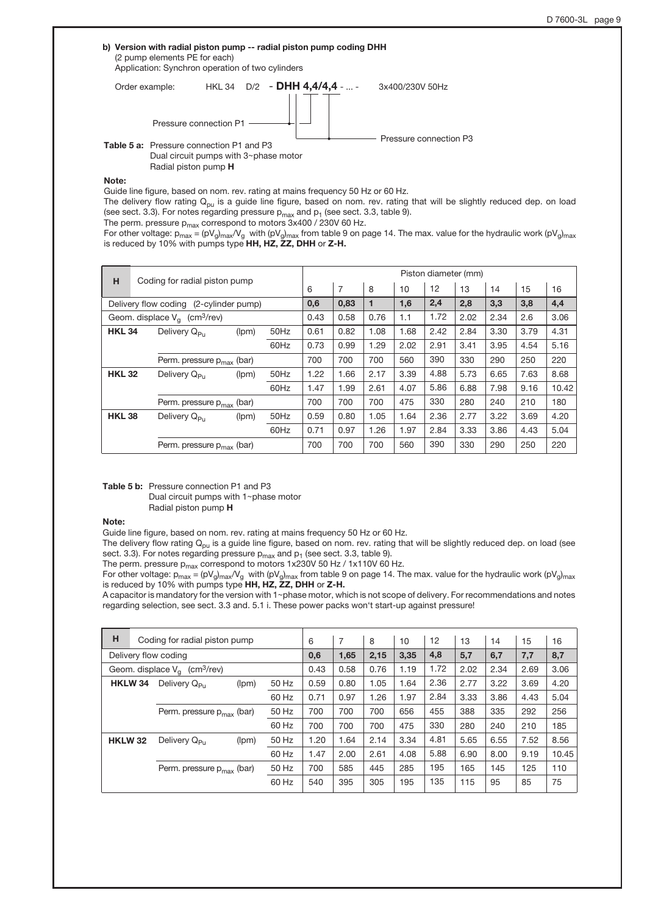# Order example: HKL 34 D/2 - DHH 4,4/4,4 - ... - 3x400/230V 50Hz Pressure connection P3 Table 5 a: Pressure connection P1 and P3 Dual circuit pumps with 3~phase motor Radial piston pump H Pressure connection P1 b) Version with radial piston pump -- radial piston pump coding DHH (2 pump elements PE for each) Application: Synchron operation of two cylinders

Note:

Guide line figure, based on nom. rev. rating at mains frequency 50 Hz or 60 Hz.

The delivery flow rating  $Q_{pu}$  is a guide line figure, based on nom. rev. rating that will be slightly reduced dep. on load (see sect. 3.3). For notes regarding pressure  $p_{max}$  and  $p_1$  (see sect. 3.3, table 9).

The perm. pressure  $p_{\rm max}$  correspond to motors 3x400 / 230V 60 Hz.

For other voltage:  $p_{max} = (pV_q)_{max}/V_q$  with  $(pV_q)_{max}$  from table 9 on page 14. The max. value for the hydraulic work (pV<sub>g</sub>)<sub>max</sub> is reduced by 10% with pumps type HH, HZ, ZZ, DHH or Z-H.

| н                                           |                                | Coding for radial piston pump          |       |      |      |                |      |      | Piston diameter (mm) |      |      |      |       |
|---------------------------------------------|--------------------------------|----------------------------------------|-------|------|------|----------------|------|------|----------------------|------|------|------|-------|
|                                             |                                |                                        |       |      | 6    | $\overline{7}$ | 8    | 10   | 12                   | 13   | 14   | 15   | 16    |
|                                             |                                | Delivery flow coding (2-cylinder pump) |       |      | 0,6  | 0,83           | 1    | 1,6  | 2,4                  | 2,8  | 3,3  | 3,8  | 4,4   |
| Geom. displace $V_a$ (cm <sup>3</sup> /rev) |                                |                                        |       |      | 0.43 | 0.58           | 0.76 | 1.1  | 1.72                 | 2.02 | 2.34 | 2.6  | 3.06  |
| <b>HKL 34</b>                               |                                | Delivery Q <sub>Pu</sub>               | (lpm) | 50Hz | 0.61 | 0.82           | 1.08 | 1.68 | 2.42                 | 2.84 | 3.30 | 3.79 | 4.31  |
|                                             |                                |                                        |       | 60Hz | 0.73 | 0.99           | 1.29 | 2.02 | 2.91                 | 3.41 | 3.95 | 4.54 | 5.16  |
|                                             |                                | Perm. pressure $p_{max}$ (bar)         |       |      | 700  | 700            | 700  | 560  | 390                  | 330  | 290  | 250  | 220   |
| <b>HKL 32</b>                               |                                | Delivery $Q_{\text{P}_{11}}$           | (lpm) | 50Hz | 1.22 | 1.66           | 2.17 | 3.39 | 4.88                 | 5.73 | 6.65 | 7.63 | 8.68  |
|                                             |                                |                                        |       | 60Hz | 1.47 | 1.99           | 2.61 | 4.07 | 5.86                 | 6.88 | 7.98 | 9.16 | 10.42 |
|                                             |                                | Perm. pressure $p_{max}$ (bar)         |       |      | 700  | 700            | 700  | 475  | 330                  | 280  | 240  | 210  | 180   |
| <b>HKL 38</b>                               |                                | Delivery $Q_{\text{P}_{11}}$           | (lpm) | 50Hz | 0.59 | 0.80           | 1.05 | 1.64 | 2.36                 | 2.77 | 3.22 | 3.69 | 4.20  |
|                                             |                                |                                        |       | 60Hz | 0.71 | 0.97           | 1.26 | 1.97 | 2.84                 | 3.33 | 3.86 | 4.43 | 5.04  |
|                                             | Perm. pressure $p_{max}$ (bar) |                                        |       |      | 700  | 700            | 700  | 560  | 390                  | 330  | 290  | 250  | 220   |

Table 5 b: Pressure connection P1 and P3 Dual circuit pumps with  $1$ ~phase motor Radial piston pump H

#### Note:

Guide line figure, based on nom. rev. rating at mains frequency 50 Hz or 60 Hz.

The delivery flow rating  $Q_{pu}$  is a guide line figure, based on nom. rev. rating that will be slightly reduced dep. on load (see sect. 3.3). For notes regarding pressure  $p_{max}$  and  $p_1$  (see sect. 3.3, table 9).

The perm. pressure  $p_{max}$  correspond to motors 1x230V 50 Hz / 1x110V 60 Hz.

For other voltage: p<sub>max</sub> = (pV<sub>g</sub>)<sub>max</sub>/V<sub>g</sub> with (pV<sub>g</sub>)<sub>max</sub> from table 9 on page 14. The max. value for the hydraulic work (pV<sub>g</sub>)<sub>max</sub><br>is reduced by 10% with pumps type **HH, HZ, ZZ, DHH** or **Z-H.** 

A capacitor is mandatory for the version with 1~phase motor, which is not scope of delivery. For recommendations and notes regarding selection, see sect. 3.3 and. 5.1 i. These power packs won't start-up against pressure!

| н                                                         | Coding for radial piston pump  |       |       | 6    | 7    | 8    | 10   | 12   | 13   | 14   | 15   | 16    |
|-----------------------------------------------------------|--------------------------------|-------|-------|------|------|------|------|------|------|------|------|-------|
|                                                           | Delivery flow coding           |       |       | 0,6  | 1,65 | 2,15 | 3,35 | 4,8  | 5,7  | 6,7  | 7,7  | 8,7   |
| Geom. displace $V_{\alpha}$<br>$\text{(cm}^3\text{/rev)}$ |                                |       | 0.43  | 0.58 | 0.76 | 1.19 | 1.72 | 2.02 | 2.34 | 2.69 | 3.06 |       |
| HKLW <sub>34</sub>                                        | Delivery Q <sub>Pu</sub>       | (lpm) | 50 Hz | 0.59 | 0.80 | 1.05 | 1.64 | 2.36 | 2.77 | 3.22 | 3.69 | 4.20  |
|                                                           |                                |       | 60 Hz | 0.71 | 0.97 | 1.26 | 1.97 | 2.84 | 3.33 | 3.86 | 4.43 | 5.04  |
|                                                           | Perm. pressure $p_{max}$ (bar) |       | 50 Hz | 700  | 700  | 700  | 656  | 455  | 388  | 335  | 292  | 256   |
|                                                           |                                |       | 60 Hz | 700  | 700  | 700  | 475  | 330  | 280  | 240  | 210  | 185   |
| <b>HKLW 32</b>                                            | Delivery Q <sub>Pu</sub>       | (lpm) | 50 Hz | 1.20 | 1.64 | 2.14 | 3.34 | 4.81 | 5.65 | 6.55 | 7.52 | 8.56  |
|                                                           |                                |       | 60 Hz | 1.47 | 2.00 | 2.61 | 4.08 | 5.88 | 6.90 | 8.00 | 9.19 | 10.45 |
|                                                           | Perm. pressure $p_{max}$ (bar) |       | 50 Hz | 700  | 585  | 445  | 285  | 195  | 165  | 145  | 125  | 110   |
|                                                           |                                |       | 60 Hz | 540  | 395  | 305  | 195  | 135  | 115  | 95   | 85   | 75    |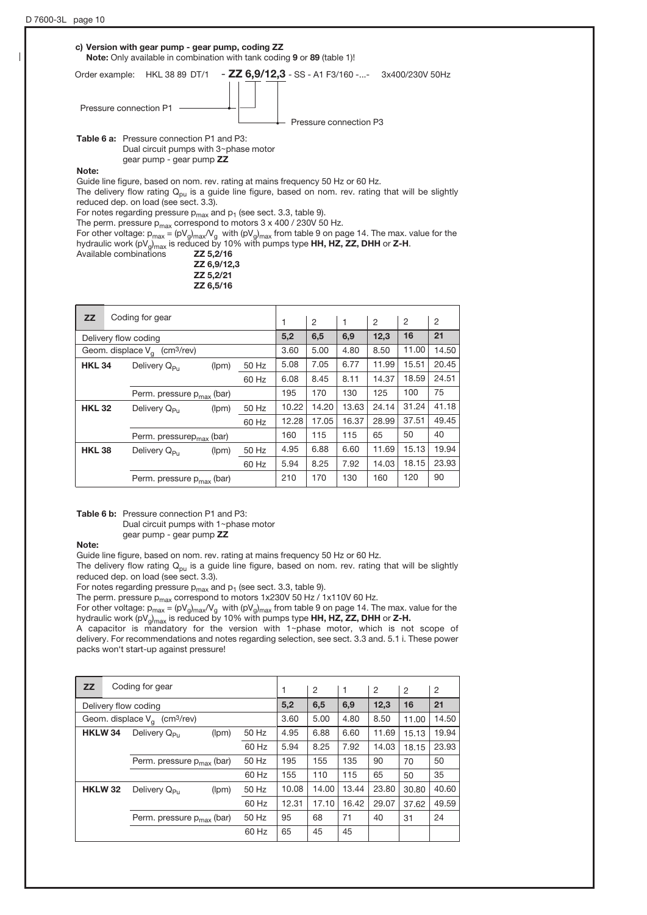

Available combinations **ZZ 5,2/16**  ZZ 6,9/12,3 ZZ 5,2/21 ZZ 6,5/16

|               |                                |                                                                                               |                                                                                                           | 1     | 2     | $\mathbf{1}$ | 2     | $\overline{2}$ | $\overline{2}$ |
|---------------|--------------------------------|-----------------------------------------------------------------------------------------------|-----------------------------------------------------------------------------------------------------------|-------|-------|--------------|-------|----------------|----------------|
|               |                                |                                                                                               |                                                                                                           | 5,2   | 6,5   | 6,9          | 12,3  | 16             | 21             |
|               |                                |                                                                                               |                                                                                                           | 3.60  | 5.00  | 4.80         | 8.50  | 11.00          | 14.50          |
| <b>HKL 34</b> | Delivery Q <sub>Pu</sub>       | (lpm)                                                                                         | 50 Hz                                                                                                     | 5.08  | 7.05  | 6.77         | 11.99 | 15.51          | 20.45          |
|               |                                |                                                                                               | 60 Hz                                                                                                     | 6.08  | 8.45  | 8.11         | 14.37 | 18.59          | 24.51          |
|               |                                |                                                                                               |                                                                                                           | 195   | 170   | 130          | 125   | 100            | 75             |
| <b>HKL 32</b> | Delivery Q <sub>Pu</sub>       | (lpm)                                                                                         | 50 Hz                                                                                                     | 10.22 | 14.20 | 13.63        | 24.14 | 31.24          | 41.18          |
|               |                                |                                                                                               | 60 Hz                                                                                                     | 12.28 | 17.05 | 16.37        | 28.99 | 37.51          | 49.45          |
|               |                                |                                                                                               |                                                                                                           | 160   | 115   | 115          | 65    | 50             | 40             |
| <b>HKL 38</b> | Delivery $Q_{\mathsf{P}_{11}}$ | (lpm)                                                                                         | 50 Hz                                                                                                     | 4.95  | 6.88  | 6.60         | 11.69 | 15.13          | 19.94          |
|               |                                |                                                                                               | 60 Hz                                                                                                     | 5.94  | 8.25  | 7.92         | 14.03 | 18.15          | 23.93          |
|               |                                |                                                                                               |                                                                                                           | 210   | 170   | 130          | 160   | 120            | 90             |
|               |                                | Coding for gear<br>Delivery flow coding<br>Geom. displace $V_{\alpha}$ (cm <sup>3</sup> /rev) | Perm. pressure $p_{max}$ (bar)<br>Perm. pressure $p_{max}$ (bar)<br>Perm. pressure p <sub>max</sub> (bar) |       |       |              |       |                |                |

Table 6 b: Pressure connection P1 and P3:

Dual circuit pumps with 1~phase motor

gear pump - gear pump ZZ

The delivery flow rating  $Q_{\text{pu}}$  is a guide line figure, based on nom. rev. rating that will be slightly reduced dep. on load (see sect. 3.3).

For notes regarding pressure  $p_{max}$  and  $p_1$  (see sect. 3.3, table 9).

The perm. pressure  $p_{max}$  correspond to motors 1x230V 50 Hz / 1x110V 60 Hz.

For other voltage:  $p_{max} = (pV_g)_{max}/V_g$  with  $(pV_g)_{max}$  from table 9 on page 14. The max. value for the hydraulic work (pV<sub>a</sub>)<sub>max</sub> is reduced by 10% with pumps type HH, HZ, ZZ, DHH or Z-H.

A capacitor is mandatory for the version with  $1$ -phase motor, which is not scope of delivery. For recommendations and notes regarding selection, see sect. 3.3 and. 5.1 i. These power packs won't start-up against pressure!

| <b>ZZ</b>            | Coding for gear                             |       |       |       | 2     | -1    | 2     | $\overline{2}$ | $\overline{2}$ |
|----------------------|---------------------------------------------|-------|-------|-------|-------|-------|-------|----------------|----------------|
| Delivery flow coding |                                             |       |       | 5,2   | 6,5   | 6,9   | 12,3  | 16             | 21             |
|                      | Geom. displace $V_a$ (cm <sup>3</sup> /rev) |       |       | 3.60  | 5.00  | 4.80  | 8.50  | 11.00          | 14.50          |
| HKLW <sub>34</sub>   | Delivery Q <sub>Pu</sub>                    | (lpm) | 50 Hz | 4.95  | 6.88  | 6.60  | 11.69 | 15.13          | 19.94          |
|                      |                                             |       | 60 Hz | 5.94  | 8.25  | 7.92  | 14.03 | 18.15          | 23.93          |
|                      | Perm. pressure $p_{max}$ (bar)              |       | 50 Hz | 195   | 155   | 135   | 90    | 70             | 50             |
|                      |                                             |       | 60 Hz | 155   | 110   | 115   | 65    | 50             | 35             |
| <b>HKLW 32</b>       | Delivery Q <sub>Pu</sub>                    | (lpm) | 50 Hz | 10.08 | 14.00 | 13.44 | 23.80 | 30.80          | 40.60          |
|                      |                                             |       | 60 Hz | 12.31 | 17.10 | 16.42 | 29.07 | 37.62          | 49.59          |
|                      | Perm. pressure $p_{max}$ (bar)              |       | 50 Hz | 95    | 68    | 71    | 40    | 31             | 24             |
|                      |                                             |       | 60 Hz | 65    | 45    | 45    |       |                |                |

Note:

Guide line figure, based on nom. rev. rating at mains frequency 50 Hz or 60 Hz.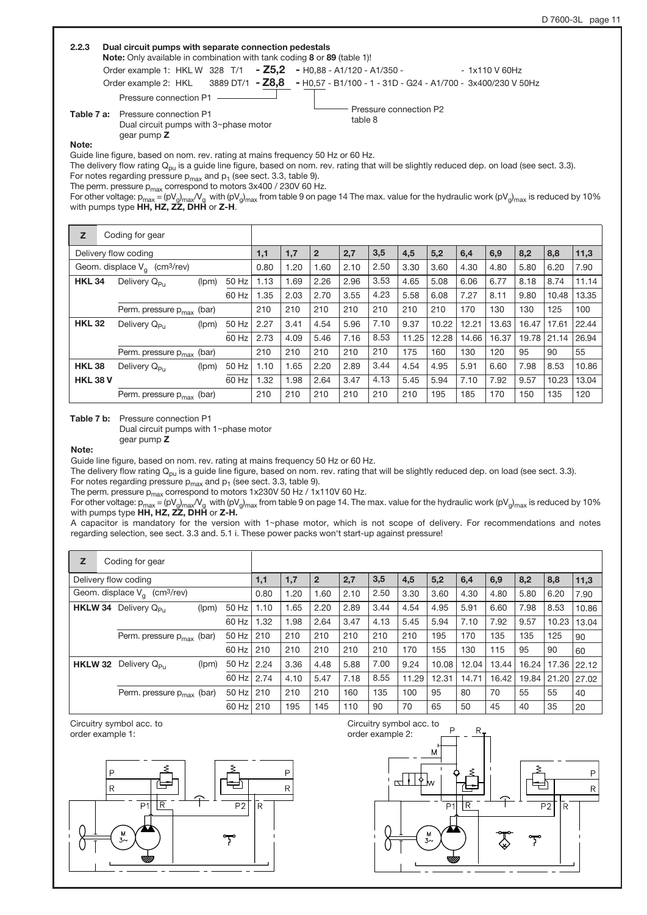| 2.2.3 | Dual circuit pumps with separate connection pedestals<br>Note: Only available in combination with tank coding 8 or 89 (table 1)!                                  |
|-------|-------------------------------------------------------------------------------------------------------------------------------------------------------------------|
|       | Order example 1: HKL W 328 T/1 - Z5,2 - H0,88 - A1/120 - A1/350 -<br>- 1x110 V 60Hz                                                                               |
|       | Order example 2: $HKL$ 3889 DT/1 - $Z8.8$<br>- H0,57 - B1/100 - 1 - 31D - G24 - A1/700 - 3x400/230 V 50Hz                                                         |
|       | Pressure connection P1<br>Pressure connection P2<br><b>Table 7 a:</b> Pressure connection P1<br>table 8<br>Dual circuit pumps with 3~phase motor<br>gear pump $Z$ |
| Note: | Guide line figure, based on nom. rev. rating at mains frequency 50 Hz or 60 Hz.                                                                                   |

The delivery flow rating  $\mathsf{Q}_{\mathsf{pu}}$  is a guide line figure, based on nom. rev. rating that will be slightly reduced dep. on load (see sect. 3.3).

For notes regarding pressure  $p_{max}$  and  $p_1$  (see sect. 3.3, table 9).

The perm. pressure  $p_{max}$  correspond to motors 3x400 / 230V 60 Hz.

For other voltage: p<sub>max</sub> = (pV<sub>g</sub>)<sub>max</sub>/V<sub>g</sub> with (pV<sub>g</sub>)<sub>max</sub> from table 9 on page 14 The max. value for the hydraulic work (pV<sub>g</sub>)<sub>max</sub> is reduced by 10%<br>with pumps type **HH, HZ, ZZ, DHH** or **Z-H**.

| z               | Coding for gear                             |       |       |      |      |              |      |      |       |       |       |       |       |       |       |
|-----------------|---------------------------------------------|-------|-------|------|------|--------------|------|------|-------|-------|-------|-------|-------|-------|-------|
|                 | Delivery flow coding                        |       |       | 1,1  | 1,7  | $\mathbf{2}$ | 2,7  | 3,5  | 4,5   | 5,2   | 6,4   | 6,9   | 8,2   | 8,8   | 11,3  |
|                 | Geom. displace $V_a$ (cm <sup>3</sup> /rev) |       |       | 0.80 | 1.20 | 1.60         | 2.10 | 2.50 | 3.30  | 3.60  | 4.30  | 4.80  | 5.80  | 6.20  | 7.90  |
| <b>HKL 34</b>   | Delivery Q <sub>Pu</sub>                    | (lpm) | 50 Hz | 1.13 | 1.69 | 2.26         | 2.96 | 3.53 | 4.65  | 5.08  | 6.06  | 6.77  | 8.18  | 8.74  | 11.14 |
|                 |                                             |       | 60 Hz | .35  | 2.03 | 2.70         | 3.55 | 4.23 | 5.58  | 6.08  | 7.27  | 8.11  | 9.80  | 10.48 | 13.35 |
|                 | Perm. pressure $p_{max}$ (bar)              |       |       | 210  | 210  | 210          | 210  | 210  | 210   | 210   | 170   | 130   | 130   | 125   | 100   |
| <b>HKL32</b>    | Delivery Q <sub>Pu</sub>                    | (lpm) | 50 Hz | 2.27 | 3.41 | 4.54         | 5.96 | 7.10 | 9.37  | 10.22 | 12.21 | 13.63 | 16.47 | 17.61 | 22.44 |
|                 |                                             |       | 60 Hz | 2.73 | 4.09 | 5.46         | 7.16 | 8.53 | 11.25 | 12.28 | 14.66 | 16.37 | 19.78 | 21.14 | 26.94 |
|                 | Perm. pressure $p_{max}$ (bar)              |       |       | 210  | 210  | 210          | 210  | 210  | 175   | 160   | 130   | 120   | 95    | 90    | 55    |
| <b>HKL38</b>    | Delivery Q <sub>Pu</sub>                    | (lpm) | 50 Hz | 1.10 | 1.65 | 2.20         | 2.89 | 3.44 | 4.54  | 4.95  | 5.91  | 6.60  | 7.98  | 8.53  | 10.86 |
| <b>HKL 38 V</b> |                                             |       | 60 Hz | .32  | 1.98 | 2.64         | 3.47 | 4.13 | 5.45  | 5.94  | 7.10  | 7.92  | 9.57  | 10.23 | 13.04 |
|                 | Perm. pressure $p_{max}$ (bar)              |       |       | 210  | 210  | 210          | 210  | 210  | 210   | 195   | 185   | 170   | 150   | 135   | 120   |

Table 7 b: Pressure connection P1

Dual circuit pumps with  $1$ ~phase motor gear pump Z

Note:

Guide line figure, based on nom. rev. rating at mains frequency 50 Hz or 60 Hz.

The delivery flow rating  $Q_{pu}$  is a guide line figure, based on nom. rev. rating that will be slightly reduced dep. on load (see sect. 3.3).

For notes regarding pressure  $p_{max}$  and  $p_1$  (see sect. 3.3, table 9).

The perm. pressure p $_{\sf max}$  correspond to motors 1x230V 50 Hz / 1x110V 60 Hz. For other voltage: p<sub>max</sub> = (pV<sub>g</sub>)<sub>max</sub>/V<sub>g</sub> with (pV<sub>g</sub>)<sub>max</sub> from table 9 on page 14. The max. value for the hydraulic work (pV<sub>g</sub>)<sub>max</sub> is reduced by 10%<br>with pumps type **HH, HZ, ZZ, DHH** or **Z-H.** 

A capacitor is mandatory for the version with 1~phase motor, which is not scope of delivery. For recommendations and notes regarding selection, see sect. 3.3 and. 5.1 i. These power packs won't start-up against pressure!

| Z              | Coding for gear                             |       |         |      |      |                |      |      |       |       |       |       |       |       |       |
|----------------|---------------------------------------------|-------|---------|------|------|----------------|------|------|-------|-------|-------|-------|-------|-------|-------|
|                | Delivery flow coding                        |       |         | 1,1  | 1,7  | $\overline{2}$ | 2,7  | 3,5  | 4,5   | 5,2   | 6,4   | 6,9   | 8,2   | 8,8   | 11,3  |
|                | Geom. displace $V_a$ (cm <sup>3</sup> /rev) |       |         | 0.80 | 1.20 | 1.60           | 2.10 | 2.50 | 3.30  | 3.60  | 4.30  | 4.80  | 5.80  | 6.20  | 7.90  |
| HKLW 34        | Delivery $Q_{\rm{Du}}$                      | (lpm) | 50 Hz   | 1.10 | 1.65 | 2.20           | 2.89 | 3.44 | 4.54  | 4.95  | 5.91  | 6.60  | 7.98  | 8.53  | 10.86 |
|                |                                             |       | 60 Hz   | 1.32 | 1.98 | 2.64           | 3.47 | 4.13 | 5.45  | 5.94  | 7.10  | 7.92  | 9.57  | 10.23 | 13.04 |
|                | Perm. pressure $p_{max}$ (bar)              |       | 50 Hz   | 210  | 210  | 210            | 210  | 210  | 210   | 195   | 170   | 135   | 135   | 125   | 90    |
|                |                                             |       | 60 Hz I | 210  | 210  | 210            | 210  | 210  | 170   | 155   | 130   | 115   | 95    | 90    | 60    |
| <b>HKLW 32</b> | Delivery Q <sub>Pu</sub>                    | (lpm) | 50 Hz   | 2.24 | 3.36 | 4.48           | 5.88 | 7.00 | 9.24  | 10.08 | 12.04 | 13.44 | 16.24 | 17.36 | 22.12 |
|                |                                             |       | 60 Hz   | 2.74 | 4.10 | 5.47           | 7.18 | 8.55 | 11.29 | 12.31 | 14.71 | 16.42 | 19.84 | 21.20 | 27.02 |
|                | Perm. pressure $p_{max}$ (bar)              |       | $50$ Hz | 210  | 210  | 210            | 160  | 135  | 100   | 95    | 80    | 70    | 55    | 55    | 40    |
|                |                                             |       | 60 Hz   | 210  | 195  | 145            | 110  | 90   | 70    | 65    | 50    | 45    | 40    | 35    | 20    |

Circuitry symbol acc. to order example 1:



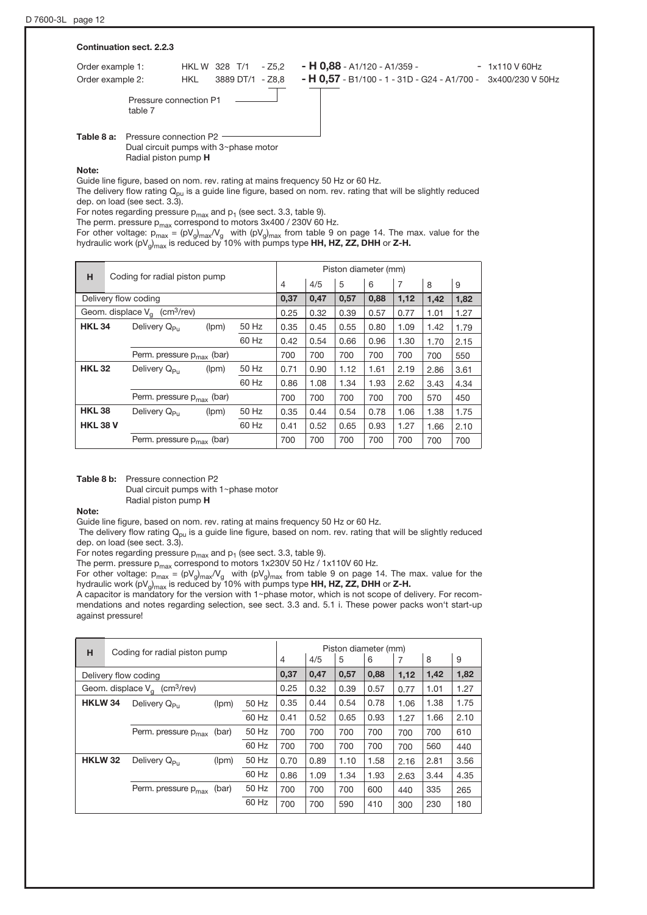| Continuation sect. 2.2.3             |                                                                                                |                                                                                                                  |
|--------------------------------------|------------------------------------------------------------------------------------------------|------------------------------------------------------------------------------------------------------------------|
| Order example 1:<br>Order example 2: | $-25.2$<br>HKL W 328 T/1<br>3889 DT/1 - Z8.8<br>HKL                                            | $- H 0,88 - A1/120 - A1/359 -$<br>$-1x110V60Hz$<br>- H 0,57 - B1/100 - 1 - 31D - G24 - A1/700 - 3x400/230 V 50Hz |
| table 7                              | Pressure connection P1                                                                         |                                                                                                                  |
| Table 8 a:                           | Pressure connection P2<br>Dual circuit pumps with 3~phase motor<br>Radial piston pump <b>H</b> |                                                                                                                  |

Note:

Guide line figure, based on nom. rev. rating at mains frequency 50 Hz or 60 Hz.

The delivery flow rating  $Q_{pu}$  is a guide line figure, based on nom. rev. rating that will be slightly reduced dep. on load (see sect. 3.3).

For notes regarding pressure  $p_{max}$  and  $p_1$  (see sect. 3.3, table 9).

The perm. pressure  $p_{max}$  correspond to motors 3x400 / 230V 60 Hz.

For other voltage:  $p_{max} = (pV_g)_{max}V_g$  with  $(pV_g)_{max}$  from table 9 on page 14. The max. value for the hydraulic work (pV $_{\rm g})_{\rm max}$  is reduced by 10% with pumps type **HH, HZ, ZZ, DHH** or **Z-H.** 

| н                                           |                                       |                                |       |       |      |      | Piston diameter (mm) |      |                |      |      |
|---------------------------------------------|---------------------------------------|--------------------------------|-------|-------|------|------|----------------------|------|----------------|------|------|
| Coding for radial piston pump               |                                       |                                |       |       | 4    | 4/5  | 5                    | 6    | $\overline{7}$ | 8    | 9    |
| Delivery flow coding                        |                                       |                                |       |       | 0,37 | 0,47 | 0,57                 | 0,88 | 1,12           | 1,42 | 1,82 |
| Geom. displace $V_a$ (cm <sup>3</sup> /rev) |                                       |                                |       |       | 0.25 | 0.32 | 0.39                 | 0.57 | 0.77           | 1.01 | 1.27 |
| <b>HKL 34</b>                               |                                       | Delivery Q <sub>Pu</sub>       | (lpm) | 50 Hz | 0.35 | 0.45 | 0.55                 | 0.80 | 1.09           | 1.42 | 1.79 |
|                                             |                                       |                                |       | 60 Hz | 0.42 | 0.54 | 0.66                 | 0.96 | 1.30           | 1.70 | 2.15 |
|                                             |                                       | Perm. pressure $p_{max}$ (bar) |       |       | 700  | 700  | 700                  | 700  | 700            | 700  | 550  |
| <b>HKL 32</b>                               |                                       | Delivery Q <sub>Pu</sub>       | (lpm) | 50 Hz | 0.71 | 0.90 | 1.12                 | 1.61 | 2.19           | 2.86 | 3.61 |
|                                             |                                       |                                |       | 60 Hz | 0.86 | 1.08 | 1.34                 | 1.93 | 2.62           | 3.43 | 4.34 |
|                                             |                                       | Perm. pressure $p_{max}$ (bar) |       |       | 700  | 700  | 700                  | 700  | 700            | 570  | 450  |
| <b>HKL 38</b>                               |                                       | Delivery $Q_{\mathsf{P}_{11}}$ | (lpm) | 50 Hz | 0.35 | 0.44 | 0.54                 | 0.78 | 1.06           | 1.38 | 1.75 |
| <b>HKL 38 V</b>                             |                                       |                                |       | 60 Hz | 0.41 | 0.52 | 0.65                 | 0.93 | 1.27           | 1.66 | 2.10 |
|                                             | Perm. pressure p <sub>max</sub> (bar) |                                |       |       |      | 700  | 700                  | 700  | 700            | 700  | 700  |

Table 8 b: Pressure connection P2

Dual circuit pumps with  $1$  ~phase motor

Radial piston pump H

Note:

Guide line figure, based on nom. rev. rating at mains frequency 50 Hz or 60 Hz.

The delivery flow rating  $Q_{pu}$  is a guide line figure, based on nom. rev. rating that will be slightly reduced dep. on load (see sect. 3.3).

For notes regarding pressure  $p_{max}$  and  $p_1$  (see sect. 3.3, table 9).

The perm. pressure  $p_{max}$  correspond to motors 1x230V 50 Hz / 1x110V 60 Hz.

For other voltage:  $p_{max} = (pV_g)_{max}V_g$  with  $(pV_g)_{max}$  from table 9 on page 14. The max. value for the hydraulic work (pV<sub>g</sub>)<sub>max</sub> is reduced by 10% with pumps type **HH, HZ, ZZ, DHH** or **Z-H.** 

A capacitor is mandatory for the version with 1~phase motor, which is not scope of delivery. For recommendations and notes regarding selection, see sect. 3.3 and. 5.1 i. These power packs won't start-up against pressure!

| н                                           | Coding for radial piston pump |                          |       | Piston diameter (mm) |                |      |      |      |      |      |      |
|---------------------------------------------|-------------------------------|--------------------------|-------|----------------------|----------------|------|------|------|------|------|------|
|                                             |                               |                          |       |                      | $\overline{4}$ | 4/5  | 5    | 6    |      | 8    | 9    |
| Delivery flow coding                        |                               |                          |       | 0,37                 | 0.47           | 0,57 | 0,88 | 1,12 | 1,42 | 1,82 |      |
| Geom. displace $V_a$ (cm <sup>3</sup> /rev) |                               |                          |       | 0.25                 | 0.32           | 0.39 | 0.57 | 0.77 | 1.01 | 1.27 |      |
| <b>HKLW34</b>                               |                               | Delivery Q <sub>Pu</sub> | (lpm) | 50 Hz                | 0.35           | 0.44 | 0.54 | 0.78 | 1.06 | 1.38 | 1.75 |
|                                             |                               |                          |       | 60 Hz                | 0.41           | 0.52 | 0.65 | 0.93 | 1.27 | 1.66 | 2.10 |
|                                             |                               | Perm. pressure $p_{max}$ | (bar) | 50 Hz                | 700            | 700  | 700  | 700  | 700  | 700  | 610  |
|                                             |                               |                          |       | 60 Hz                | 700            | 700  | 700  | 700  | 700  | 560  | 440  |
| <b>HKLW32</b>                               |                               | Delivery Q <sub>Pu</sub> | (lpm) | 50 Hz                | 0.70           | 0.89 | 1.10 | 1.58 | 2.16 | 2.81 | 3.56 |
|                                             |                               |                          |       | 60 Hz                | 0.86           | 1.09 | 1.34 | 1.93 | 2.63 | 3.44 | 4.35 |
|                                             |                               | Perm. pressure $p_{max}$ | (bar) | 50 Hz                | 700            | 700  | 700  | 600  | 440  | 335  | 265  |
|                                             |                               |                          |       | 60 Hz                | 700            | 700  | 590  | 410  | 300  | 230  | 180  |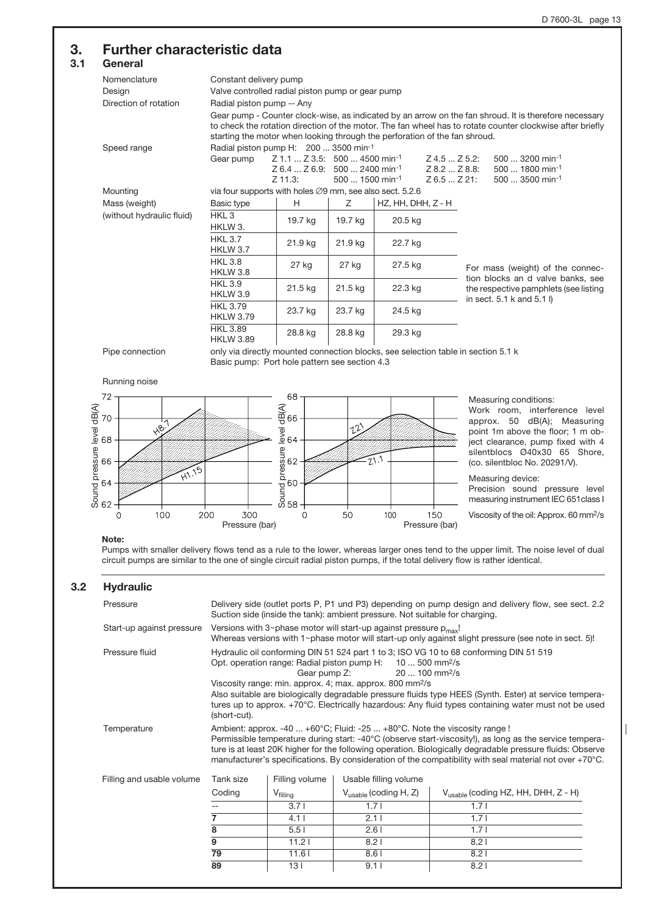# 3. Further characteristic data

# $3.1$

| uenerai                   |                                                                                                                                    |                                              |                               |                      |                     |                                                                                                             |                                                                                                                                                                                                                    |  |  |
|---------------------------|------------------------------------------------------------------------------------------------------------------------------------|----------------------------------------------|-------------------------------|----------------------|---------------------|-------------------------------------------------------------------------------------------------------------|--------------------------------------------------------------------------------------------------------------------------------------------------------------------------------------------------------------------|--|--|
| Nomenclature              | Constant delivery pump                                                                                                             |                                              |                               |                      |                     |                                                                                                             |                                                                                                                                                                                                                    |  |  |
| Design                    | Valve controlled radial piston pump or gear pump                                                                                   |                                              |                               |                      |                     |                                                                                                             |                                                                                                                                                                                                                    |  |  |
| Direction of rotation     | Radial piston pump -- Any                                                                                                          |                                              |                               |                      |                     |                                                                                                             |                                                                                                                                                                                                                    |  |  |
|                           | starting the motor when looking through the perforation of the fan shroud.                                                         |                                              |                               |                      |                     |                                                                                                             | Gear pump - Counter clock-wise, as indicated by an arrow on the fan shroud. It is therefore necessary<br>to check the rotation direction of the motor. The fan wheel has to rotate counter clockwise after briefly |  |  |
| Speed range               | Radial piston pump H: 200  3500 min-1                                                                                              |                                              |                               |                      |                     |                                                                                                             |                                                                                                                                                                                                                    |  |  |
|                           | Gear pump                                                                                                                          |                                              | Z 1.1  Z 3.5: 500  4500 min-1 |                      | $Z$ 4.5 $Z$ 5.2:    |                                                                                                             | 500  3200 min-1                                                                                                                                                                                                    |  |  |
|                           |                                                                                                                                    | $Z$ 6.4 $Z$ 6.9: 500  2400 min <sup>-1</sup> |                               |                      | $Z$ 8.2 $$ $Z$ 8.8: |                                                                                                             | $500$ 1800 min <sup>-1</sup>                                                                                                                                                                                       |  |  |
|                           |                                                                                                                                    | $Z$ 11.3:                                    | $500$ 1500 min <sup>-1</sup>  |                      | $Z$ 6.5 $Z$ 21:     |                                                                                                             | $500$ 3500 min <sup>-1</sup>                                                                                                                                                                                       |  |  |
| Mounting                  | via four supports with holes $\varnothing$ 9 mm, see also sect. 5.2.6                                                              |                                              |                               |                      |                     |                                                                                                             |                                                                                                                                                                                                                    |  |  |
| Mass (weight)             | Basic type                                                                                                                         | H                                            | Z                             | $HZ, HH, DHH, Z - H$ |                     |                                                                                                             |                                                                                                                                                                                                                    |  |  |
| (without hydraulic fluid) | HKL <sub>3</sub>                                                                                                                   | 19.7 kg                                      | 19.7 kg                       | 20.5 kg              |                     |                                                                                                             |                                                                                                                                                                                                                    |  |  |
|                           | HKLW 3.                                                                                                                            |                                              |                               |                      |                     |                                                                                                             |                                                                                                                                                                                                                    |  |  |
|                           | <b>HKL 3.7</b><br><b>HKLW 3.7</b>                                                                                                  | 21.9 kg                                      | 21.9 kg                       | 22.7 kg              |                     |                                                                                                             |                                                                                                                                                                                                                    |  |  |
|                           | <b>HKL 3.8</b><br><b>HKLW 3.8</b>                                                                                                  | 27 kg                                        | 27 kg                         | 27.5 kg              |                     | For mass (weight) of the connec-                                                                            |                                                                                                                                                                                                                    |  |  |
|                           | <b>HKL 3.9</b><br><b>HKLW 3.9</b>                                                                                                  | 21.5 kg                                      | $21.5$ kg                     | 22.3 kg              |                     | tion blocks an d valve banks, see<br>the respective pamphlets (see listing<br>in sect. $5.1$ k and $5.1$ l) |                                                                                                                                                                                                                    |  |  |
|                           | <b>HKL 3.79</b><br><b>HKLW 3.79</b>                                                                                                | 23.7 kg                                      | 23.7 kg                       | 24.5 kg              |                     |                                                                                                             |                                                                                                                                                                                                                    |  |  |
|                           | <b>HKL 3.89</b><br><b>HKLW 3.89</b>                                                                                                | 28.8 kg                                      | 28.8 kg                       | 29.3 kg              |                     |                                                                                                             |                                                                                                                                                                                                                    |  |  |
| Pipe connection           | only via directly mounted connection blocks, see selection table in section 5.1 k<br>Basic pump: Port hole pattern see section 4.3 |                                              |                               |                      |                     |                                                                                                             |                                                                                                                                                                                                                    |  |  |

Running noise



Measuring conditions:

Work room, interference level approx. 50 dB(A); Measuring point 1m above the floor; 1 m object clearance, pump fixed with 4 silentblocs Ø40x30 65 Shore, (co. silentbloc No. 20291/V).

Measuring device:

Precision sound pressure level measuring instrument IEC 651class I

Viscosity of the oil: Approx. 60 mm2/s

#### Note:

Pumps with smaller delivery flows tend as a rule to the lower, whereas larger ones tend to the upper limit. The noise level of dual circuit pumps are similar to the one of single circuit radial piston pumps, if the total delivery flow is rather identical.

#### 3.2 Hydraulic

| Pressure                  | Delivery side (outlet ports P, P1 und P3) depending on pump design and delivery flow, see sect. 2.2<br>Suction side (inside the tank): ambient pressure. Not suitable for charging.                                                                                                                                                                                                                                                                                                                                         |                                                                                                                                                                                    |                                   |                                                 |  |  |  |  |
|---------------------------|-----------------------------------------------------------------------------------------------------------------------------------------------------------------------------------------------------------------------------------------------------------------------------------------------------------------------------------------------------------------------------------------------------------------------------------------------------------------------------------------------------------------------------|------------------------------------------------------------------------------------------------------------------------------------------------------------------------------------|-----------------------------------|-------------------------------------------------|--|--|--|--|
| Start-up against pressure |                                                                                                                                                                                                                                                                                                                                                                                                                                                                                                                             | Versions with 3~phase motor will start-up against pressure $p_{max}$ !<br>Whereas versions with $1$ ~phase motor will start-up only against slight pressure (see note in sect. 5)! |                                   |                                                 |  |  |  |  |
| Pressure fluid            | Hydraulic oil conforming DIN 51 524 part 1 to 3; ISO VG 10 to 68 conforming DIN 51 519<br>Opt. operation range: Radial piston pump H:<br>$10500$ mm <sup>2</sup> /s<br>20  100 mm <sup>2</sup> /s<br>Gear pump Z:<br>Viscosity range: min. approx. 4; max. approx. 800 mm <sup>2</sup> /s<br>Also suitable are biologically degradable pressure fluids type HEES (Synth. Ester) at service tempera-<br>tures up to approx. +70°C. Electrically hazardous: Any fluid types containing water must not be used<br>(short-cut). |                                                                                                                                                                                    |                                   |                                                 |  |  |  |  |
| Temperature               | Ambient: approx. -40 $+60^{\circ}$ C; Fluid: -25 $+80^{\circ}$ C. Note the viscosity range !<br>Permissible temperature during start: -40°C (observe start-viscosity!), as long as the service tempera-<br>ture is at least 20K higher for the following operation. Biologically degradable pressure fluids: Observe<br>manufacturer's specifications. By consideration of the compatibility with seal material not over +70°C.                                                                                             |                                                                                                                                                                                    |                                   |                                                 |  |  |  |  |
| Filling and usable volume | Tank size                                                                                                                                                                                                                                                                                                                                                                                                                                                                                                                   | Filling volume                                                                                                                                                                     | Usable filling volume             |                                                 |  |  |  |  |
|                           | Coding                                                                                                                                                                                                                                                                                                                                                                                                                                                                                                                      | $V_{\text{filling}}$                                                                                                                                                               | $V_{\text{usable}}$ (coding H, Z) | $V_{\text{usable}}$ (coding HZ, HH, DHH, Z - H) |  |  |  |  |
|                           |                                                                                                                                                                                                                                                                                                                                                                                                                                                                                                                             | 3.71                                                                                                                                                                               | 1.71                              | 1.71                                            |  |  |  |  |
|                           | 7                                                                                                                                                                                                                                                                                                                                                                                                                                                                                                                           | 4.11                                                                                                                                                                               | 2.11                              | 1.71                                            |  |  |  |  |
|                           | 8                                                                                                                                                                                                                                                                                                                                                                                                                                                                                                                           | 5.51                                                                                                                                                                               | 2.61                              | 1.7 <sub>1</sub>                                |  |  |  |  |
|                           | $\overline{9}$                                                                                                                                                                                                                                                                                                                                                                                                                                                                                                              | 11.21                                                                                                                                                                              | 8.21<br>8.21                      |                                                 |  |  |  |  |
|                           | 79                                                                                                                                                                                                                                                                                                                                                                                                                                                                                                                          | 11.61                                                                                                                                                                              | 8.61                              | 8.21                                            |  |  |  |  |
|                           | 89                                                                                                                                                                                                                                                                                                                                                                                                                                                                                                                          | 131                                                                                                                                                                                | 9.11                              | 8.21                                            |  |  |  |  |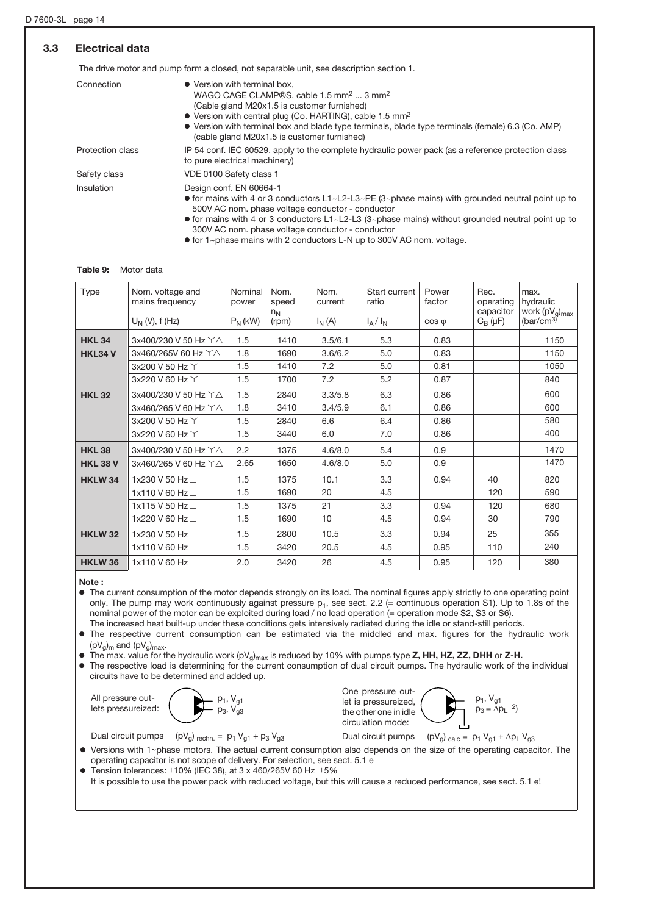# 3.3 Electrical data

The drive motor and pump form a closed, not separable unit, see description section 1.

| Connection       | • Version with terminal box.<br>WAGO CAGE CLAMP®S, cable 1.5 mm <sup>2</sup> 3 mm <sup>2</sup><br>(Cable gland M20x1.5 is customer furnished)<br>• Version with central plug (Co. HARTING), cable 1.5 mm <sup>2</sup><br>• Version with terminal box and blade type terminals, blade type terminals (female) 6.3 (Co. AMP)<br>(cable gland M20x1.5 is customer furnished) |
|------------------|---------------------------------------------------------------------------------------------------------------------------------------------------------------------------------------------------------------------------------------------------------------------------------------------------------------------------------------------------------------------------|
| Protection class | IP 54 conf. IEC 60529, apply to the complete hydraulic power pack (as a reference protection class<br>to pure electrical machinery)                                                                                                                                                                                                                                       |
| Safety class     | VDE 0100 Safety class 1                                                                                                                                                                                                                                                                                                                                                   |
| Insulation       | Design conf. EN 60664-1<br>• for mains with 4 or 3 conductors $L1 \sim L2 - L3 \sim PE$ (3 $\sim$ phase mains) with grounded neutral point up to<br>500V AC nom. phase voltage conductor - conductor<br>$\bullet$ for mains with 4 or 3 conductors L1~L2-L3 (3~phase mains) without grounded neutral point up to<br>300V AC nom. phase voltage conductor - conductor      |

o for 1~phase mains with 2 conductors L-N up to 300V AC nom. voltage.

#### Table 9: Motor data

| <b>Type</b>     | Nom. voltage and<br>mains frequency<br>$U_N$ (V), f (Hz) | Nominal<br>power<br>$P_N(kW)$ | Nom.<br>speed<br>$n_N$<br>(rpm) | Nom.<br>current<br>$I_N(A)$ | Start current<br>ratio<br>$I_A/I_N$ | Power<br>factor<br>$\cos \varphi$ | Rec.<br>operating<br>capacitor<br>$C_{\rm B}(\mu F)$ | max.<br>hydraulic<br>work $(pV_g)_{max}$<br>(bar/cm <sup>3</sup> ) |
|-----------------|----------------------------------------------------------|-------------------------------|---------------------------------|-----------------------------|-------------------------------------|-----------------------------------|------------------------------------------------------|--------------------------------------------------------------------|
| <b>HKL 34</b>   | 3x400/230 V 50 Hz YA                                     | 1.5                           | 1410                            | 3.5/6.1                     | 5.3                                 | 0.83                              |                                                      | 1150                                                               |
| HKL34 V         | 3x460/265V 60 Hz YA                                      | 1.8                           | 1690                            | 3.6/6.2                     | 5.0                                 | 0.83                              |                                                      | 1150                                                               |
|                 | 3x200 V 50 Hz Y                                          | 1.5                           | 1410                            | 7.2                         | 5.0                                 | 0.81                              |                                                      | 1050                                                               |
|                 | 3x220 V 60 Hz Y                                          | 1.5                           | 1700                            | 7.2                         | 5.2                                 | 0.87                              |                                                      | 840                                                                |
| <b>HKL 32</b>   | 3x400/230 V 50 Hz YA                                     | 1.5                           | 2840                            | 3.3/5.8                     | 6.3                                 | 0.86                              |                                                      | 600                                                                |
|                 | 3x460/265 V 60 Hz Y△                                     | 1.8                           | 3410                            | 3.4/5.9                     | 6.1                                 | 0.86                              |                                                      | 600                                                                |
|                 | 3x200 V 50 Hz Y                                          | 1.5                           | 2840                            | 6.6                         | 6.4                                 | 0.86                              |                                                      | 580                                                                |
|                 | 3x220 V 60 Hz Y                                          | 1.5                           | 3440                            | 6.0                         | 7.0                                 | 0.86                              |                                                      | 400                                                                |
| <b>HKL 38</b>   | 3x400/230 V 50 Hz Y△                                     | 2.2                           | 1375                            | 4.6/8.0                     | 5.4                                 | 0.9                               |                                                      | 1470                                                               |
| <b>HKL 38 V</b> | 3x460/265 V 60 Hz $\Upsilon\Delta$                       | 2.65                          | 1650                            | 4.6/8.0                     | 5.0                                 | 0.9                               |                                                      | 1470                                                               |
| <b>HKLW34</b>   | 1x230 V 50 Hz                                            | 1.5                           | 1375                            | 10.1                        | 3.3                                 | 0.94                              | 40                                                   | 820                                                                |
|                 | 1x110 V 60 Hz L                                          | 1.5                           | 1690                            | 20                          | 4.5                                 |                                   | 120                                                  | 590                                                                |
|                 | 1x115 V 50 Hz I                                          | 1.5                           | 1375                            | 21                          | 3.3                                 | 0.94                              | 120                                                  | 680                                                                |
|                 | 1x220 V 60 Hz                                            | 1.5                           | 1690                            | 10                          | 4.5                                 | 0.94                              | 30                                                   | 790                                                                |
| <b>HKLW 32</b>  | 1x230 V 50 Hz $\perp$                                    | 1.5                           | 2800                            | 10.5                        | 3.3                                 | 0.94                              | 25                                                   | 355                                                                |
|                 | 1x110 V 60 Hz L                                          | 1.5                           | 3420                            | 20.5                        | 4.5                                 | 0.95                              | 110                                                  | 240                                                                |
| <b>HKLW 36</b>  | 1x110 V 60 Hz                                            | 2.0                           | 3420                            | 26                          | 4.5                                 | 0.95                              | 120                                                  | 380                                                                |

#### Note :

o The current consumption of the motor depends strongly on its load. The nominal figures apply strictly to one operating point only. The pump may work continuously against pressure  $p_1$ , see sect. 2.2 (= continuous operation S1). Up to 1.8s of the nominal power of the motor can be exploited during load / no load operation (= operation mode S2, S3 or S6). The increased heat built-up under these conditions gets intensively radiated during the idle or stand-still periods.

o The respective current consumption can be estimated via the middled and max. figures for the hydraulic work  $(pV_q)_m$  and  $(pV_q)_{max}$ .

 $\bullet$  The max. value for the hydraulic work (pV<sub>g</sub>)<sub>max</sub> is reduced by 10% with pumps type **Z, HH, HZ, ZZ, DHH** or **Z-H.** 

o The respective load is determining for the current consumption of dual circuit pumps. The hydraulic work of the individual circuits have to be determined and added up.

All pressure outlets pressureized:



Dual circuit pumps (pV<sub>g</sub>) <sub>calc</sub> =  $p_1 V_{q1} + \Delta p_L V_{q3}$ One pressure outlet is pressureized, the other one in idle circulation mode:



Dual circuit pumps (pV<sub>g</sub>) <sub>rechn.</sub> =  $p_1 V_{g1} + p_3 V_{g3}$ 

- Versions with 1~phase motors. The actual current consumption also depends on the size of the operating capacitor. The operating capacitor is not scope of delivery. For selection, see sect. 5.1 e
- $\bullet$  Tension tolerances:  $\pm 10\%$  (IEC 38), at 3 x 460/265V 60 Hz  $\pm 5\%$

It is possible to use the power pack with reduced voltage, but this will cause a reduced performance, see sect. 5.1 e!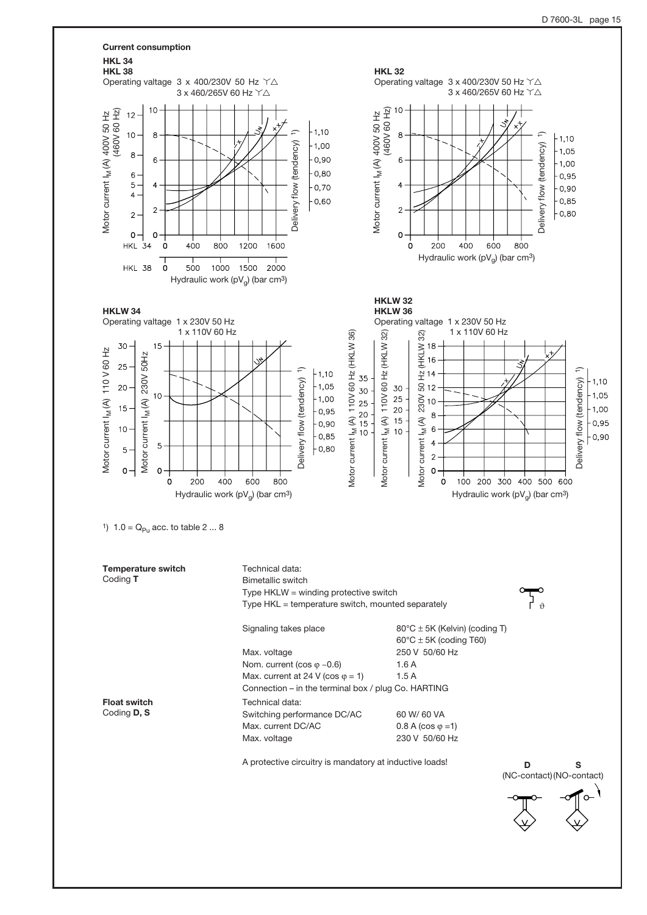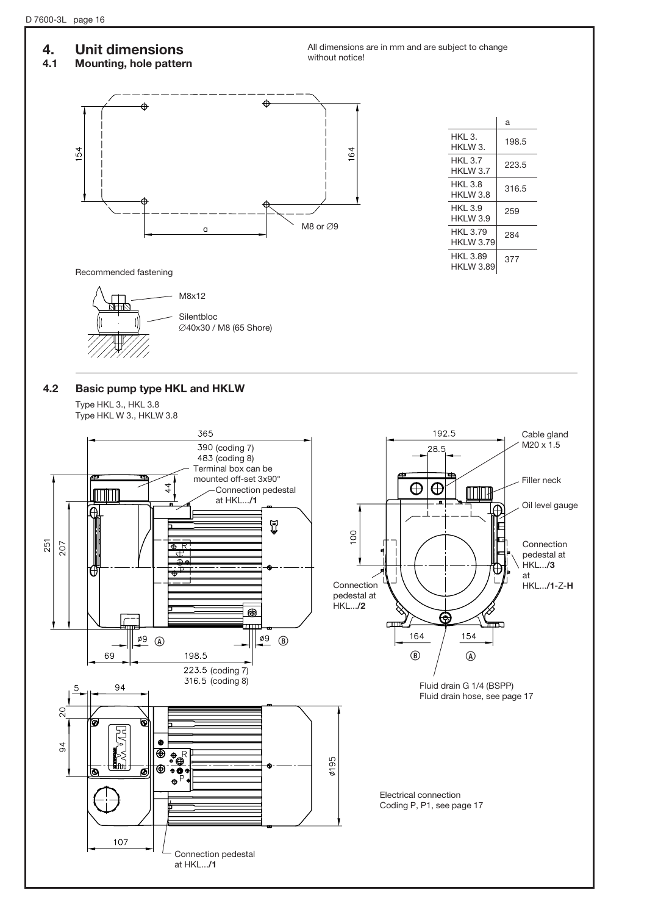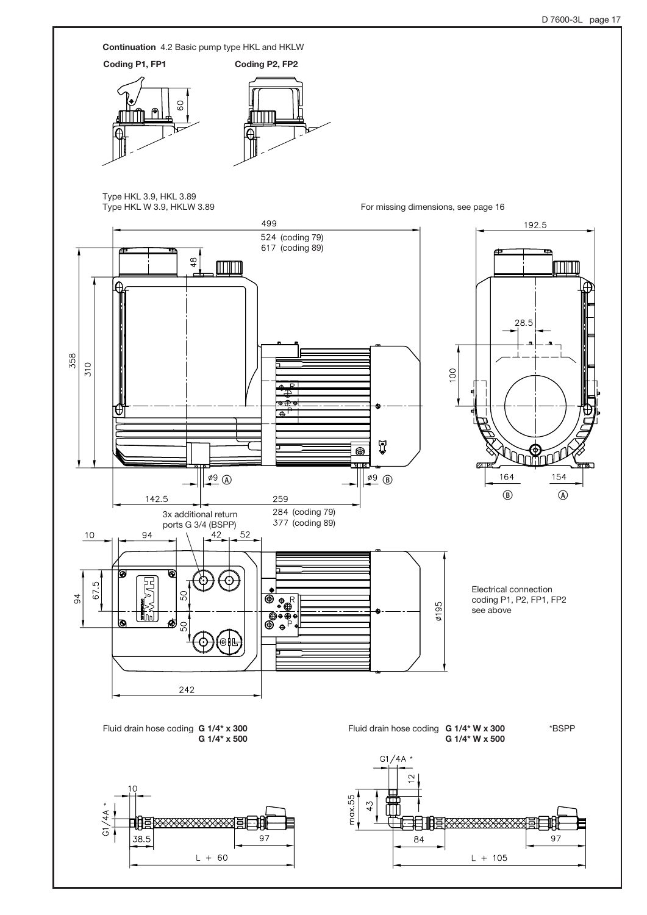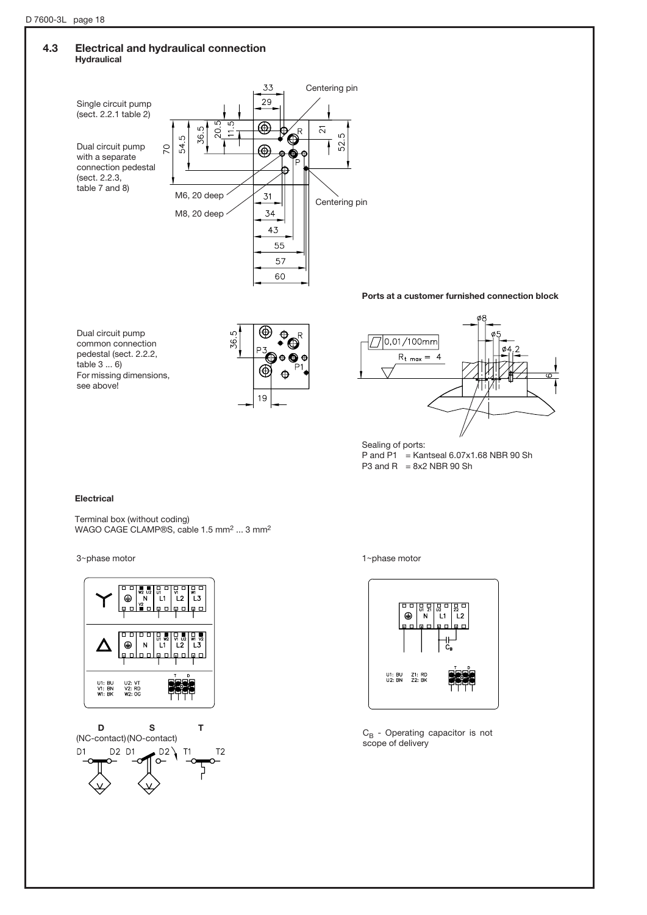## 4.3 Electrical and hydraulical connection Hydraulical



Ports at a customer furnished connection block

Dual circuit pump common connection pedestal (sect. 2.2.2, table 3 ... 6) For missing dimensions, see above!





Sealing of ports: P and P1 = Kantseal  $6.07 \times 1.68$  NBR 90 Sh P3 and R =  $8x2$  NBR 90 Sh

### Electrical

Terminal box (without coding) WAGO CAGE CLAMP®S, cable 1.5 mm2 ... 3 mm2





3~phase motor 1-phase motor



 $C_B$  - Operating capacitor is not scope of delivery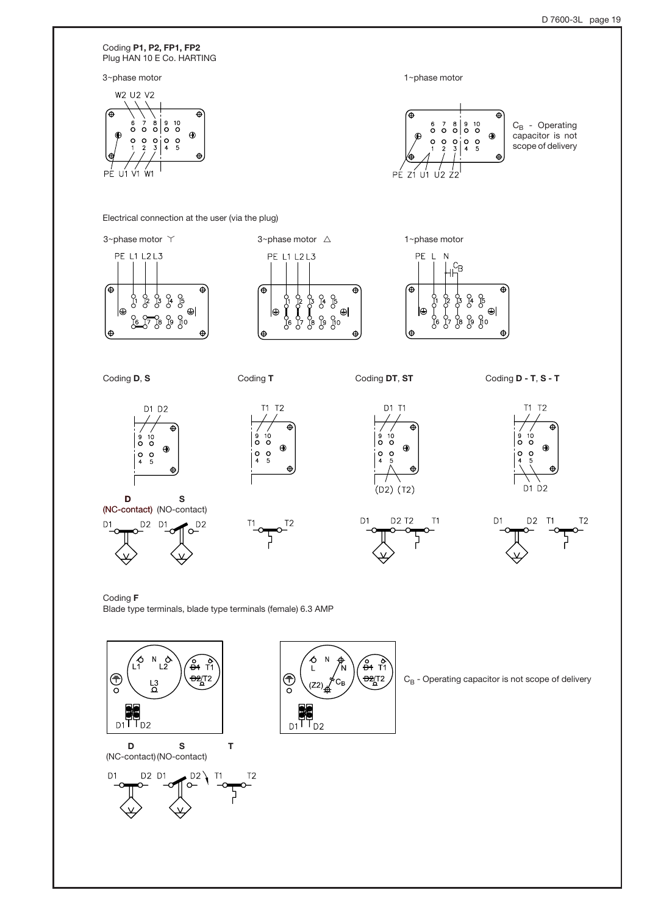

Coding F Blade type terminals, blade type terminals (female) 6.3 AMP

![](_page_18_Figure_3.jpeg)

D (NC-contact) (NO-contact) S

![](_page_18_Figure_5.jpeg)

![](_page_18_Picture_6.jpeg)

 $C_B$  - Operating capacitor is not scope of delivery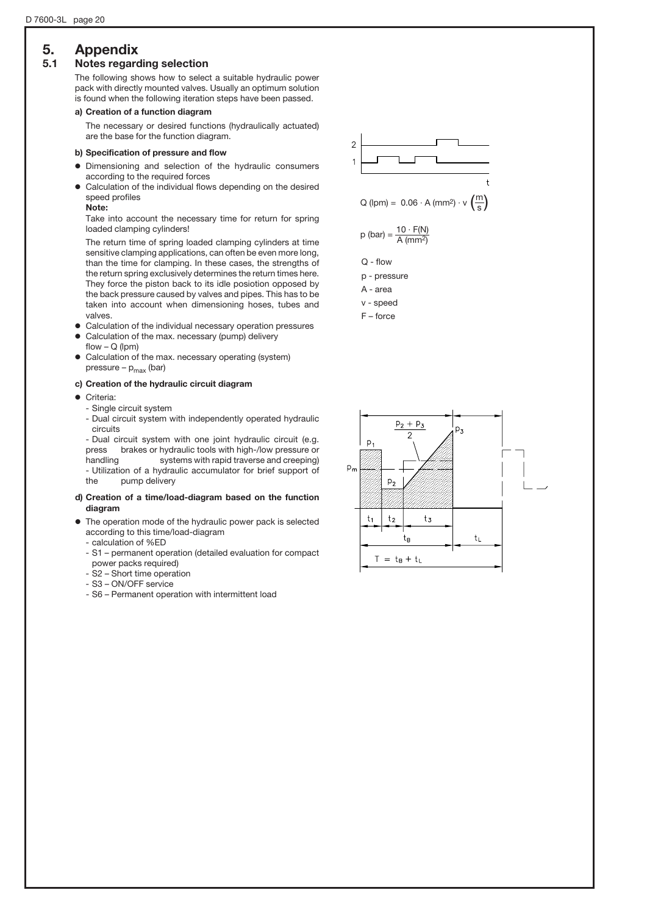# 5. Appendix

### 5.1 Notes regarding selection

The following shows how to select a suitable hydraulic power pack with directly mounted valves. Usually an optimum solution is found when the following iteration steps have been passed.

#### a) Creation of a function diagram

The necessary or desired functions (hydraulically actuated) are the base for the function diagram.

#### b) Specification of pressure and flow

- o Dimensioning and selection of the hydraulic consumers according to the required forces
- o Calculation of the individual flows depending on the desired speed profiles

Note:

Take into account the necessary time for return for spring loaded clamping cylinders!

The return time of spring loaded clamping cylinders at time sensitive clamping applications, can often be even more long, than the time for clamping. In these cases, the strengths of the return spring exclusively determines the return times here. They force the piston back to its idle posiotion opposed by the back pressure caused by valves and pipes. This has to be taken into account when dimensioning hoses, tubes and valves.

- Calculation of the individual necessary operation pressures
- Calculation of the max. necessary (pump) delivery flow  $- Q$  (lpm)
- o Calculation of the max. necessary operating (system) pressure –  $p_{max}$  (bar)

#### c) Creation of the hydraulic circuit diagram

- **·** Criteria:
	- Single circuit system
	- Dual circuit system with independently operated hydraulic circuits

- Dual circuit system with one joint hydraulic circuit (e.g. press brakes or hydraulic tools with high-/low pressure or handling systems with rapid traverse and creeping) - Utilization of a hydraulic accumulator for brief support of the pump delivery

#### d) Creation of a time/load-diagram based on the function diagram

- $\bullet$  The operation mode of the hydraulic power pack is selected according to this time/load-diagram
	- calculation of %ED
	- S1 permanent operation (detailed evaluation for compact power packs required)
	- S2 Short time operation
	- S3 ON/OFF service
	- S6 Permanent operation with intermittent load

![](_page_19_Figure_27.jpeg)

F – force

![](_page_19_Figure_29.jpeg)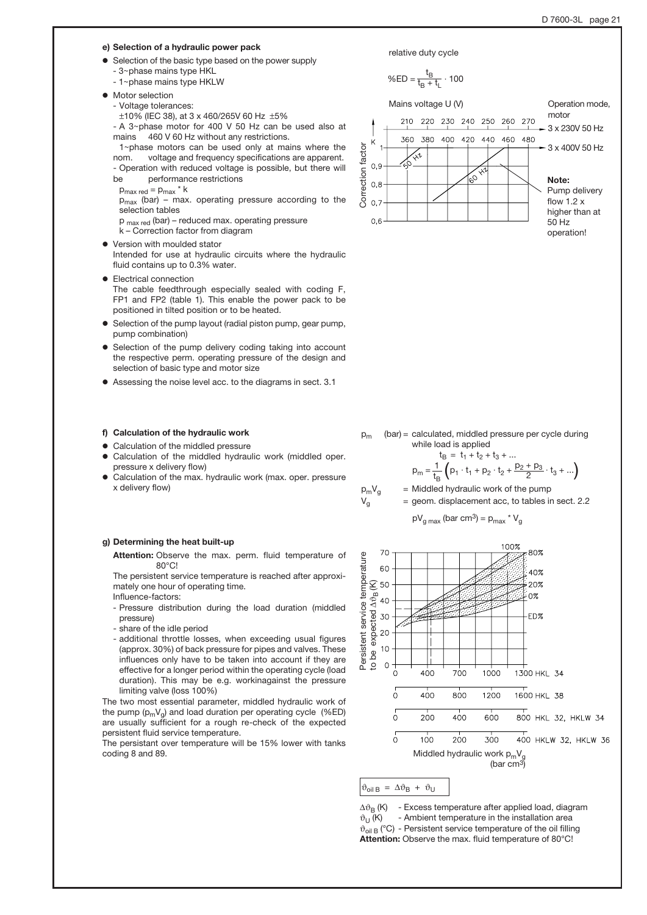#### e) Selection of a hydraulic power pack

- Selection of the basic type based on the power supply - 3~phase mains type HKL
	- 1~phase mains type HKLW
- **•** Motor selection
- Voltage tolerances:
	- $\pm$ 10% (IEC 38), at 3 x 460/265V 60 Hz  $\pm$ 5%
- A 3+phase motor for 400 V 50 Hz can be used also at mains 460 V 60 Hz without any restrictions.
- 1~phase motors can be used only at mains where the nom. voltage and frequency specifications are apparent. - Operation with reduced voltage is possible, but there will
- be performance restrictions
- $p_{\text{max red}} = p_{\text{max}} * k$
- $p_{max}$  (bar) max. operating pressure according to the selection tables
- p max red (bar) reduced max. operating pressure
- k Correction factor from diagram
- Version with moulded stator Intended for use at hydraulic circuits where the hydraulic fluid contains up to 0.3% water.
- Electrical connection
	- The cable feedthrough especially sealed with coding F, FP1 and FP2 (table 1). This enable the power pack to be positioned in tilted position or to be heated.
- Selection of the pump layout (radial piston pump, gear pump, pump combination)
- Selection of the pump delivery coding taking into account the respective perm. operating pressure of the design and selection of basic type and motor size
- o Assessing the noise level acc. to the diagrams in sect. 3.1

#### f) Calculation of the hydraulic work

- Calculation of the middled pressure
- Calculation of the middled hydraulic work (middled oper. pressure x delivery flow)
- Calculation of the max. hydraulic work (max. oper. pressure x delivery flow)

#### g) Determining the heat built-up

Attention: Observe the max. perm. fluid temperature of 80°C!

The persistent service temperature is reached after approximately one hour of operating time. Influence-factors:

- Pressure distribution during the load duration (middled pressure)
- share of the idle period
- additional throttle losses, when exceeding usual figures (approx. 30%) of back pressure for pipes and valves. These influences only have to be taken into account if they are effective for a longer period within the operating cycle (load duration). This may be e.g. workinagainst the pressure limiting valve (loss 100%)

The two most essential parameter, middled hydraulic work of the pump  $(p_mV_q)$  and load duration per operating cycle (%ED) are usually sufficient for a rough re-check of the expected persistent fluid service temperature.

The persistant over temperature will be 15% lower with tanks coding 8 and 89.

![](_page_20_Figure_32.jpeg)

 $p_m$  (bar) = calculated, middled pressure per cycle during while load is applied

$$
t_{B} = t_{1} + t_{2} + t_{3} + ...
$$
  
\n
$$
p_{m} = \frac{1}{t_{B}} \left( p_{1} \cdot t_{1} + p_{2} \cdot t_{2} + \frac{p_{2} + p_{3}}{2} \cdot t_{3} + ... \right)
$$

$$
V_g
$$
 = geom. displacement acc, to tables in sect. 2.2

$$
pV_{\text{g max}}
$$
 (bar cm<sup>3</sup>) = p<sub>max</sub> \* V<sub>g</sub>

![](_page_20_Figure_38.jpeg)

$$
\vartheta_{\text{oil }B} = \Delta \vartheta_B + \vartheta_U
$$

 $p_m V_g$ 

 $\Delta\vartheta_B$  (K) - Excess temperature after applied load, diagram  $\vartheta_U$  (K) - Ambient temperature in the installation area - Ambient temperature in the installation area  $\vartheta_{\text{oil B}}$  (°C) - Persistent service temperature of the oil filling Attention: Observe the max. fluid temperature of 80°C!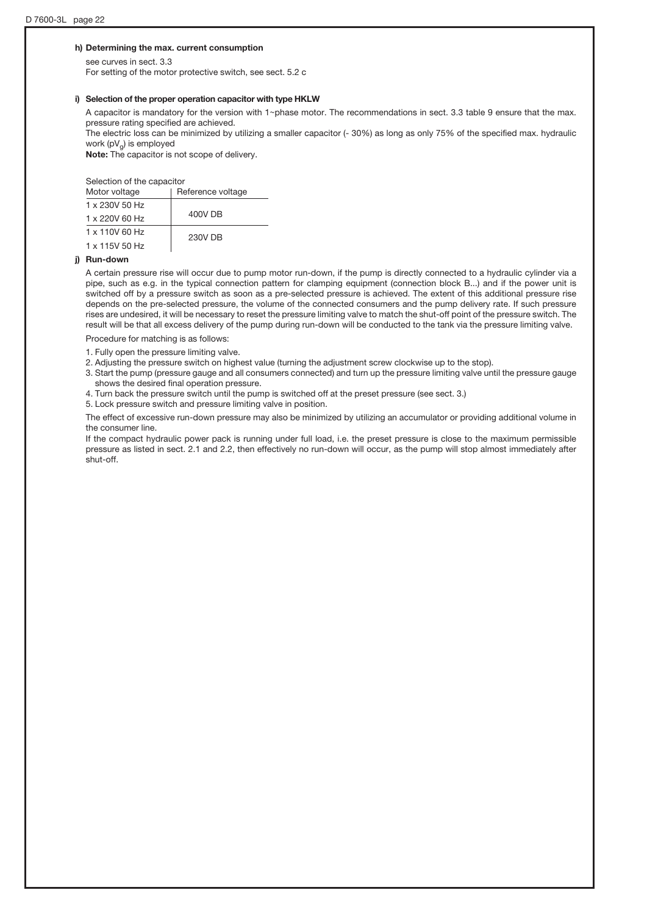#### h) Determining the max. current consumption

see curves in sect. 3.3 For setting of the motor protective switch, see sect. 5.2 c

#### i) Selection of the proper operation capacitor with type HKLW

A capacitor is mandatory for the version with  $1$ ~phase motor. The recommendations in sect. 3.3 table 9 ensure that the max. pressure rating specified are achieved.

The electric loss can be minimized by utilizing a smaller capacitor (- 30%) as long as only 75% of the specified max. hydraulic work  $(pV_q)$  is employed

Note: The capacitor is not scope of delivery.

Selection of the capacitor

| Motor voltage  | Reference voltage |  |  |
|----------------|-------------------|--|--|
| 1 x 230V 50 Hz |                   |  |  |
| 1 x 220V 60 Hz | 400V DB           |  |  |
| 1 x 110V 60 Hz | 230V DB           |  |  |
| 1 x 115V 50 Hz |                   |  |  |

#### j) Run-down

A certain pressure rise will occur due to pump motor run-down, if the pump is directly connected to a hydraulic cylinder via a pipe, such as e.g. in the typical connection pattern for clamping equipment (connection block B...) and if the power unit is switched off by a pressure switch as soon as a pre-selected pressure is achieved. The extent of this additional pressure rise depends on the pre-selected pressure, the volume of the connected consumers and the pump delivery rate. If such pressure rises are undesired, it will be necessary to reset the pressure limiting valve to match the shut-off point of the pressure switch. The result will be that all excess delivery of the pump during run-down will be conducted to the tank via the pressure limiting valve.

Procedure for matching is as follows:

1. Fully open the pressure limiting valve.

2. Adjusting the pressure switch on highest value (turning the adjustment screw clockwise up to the stop).

3. Start the pump (pressure gauge and all consumers connected) and turn up the pressure limiting valve until the pressure gauge shows the desired final operation pressure.

4. Turn back the pressure switch until the pump is switched off at the preset pressure (see sect. 3.)

5. Lock pressure switch and pressure limiting valve in position.

The effect of excessive run-down pressure may also be minimized by utilizing an accumulator or providing additional volume in the consumer line.

If the compact hydraulic power pack is running under full load, i.e. the preset pressure is close to the maximum permissible pressure as listed in sect. 2.1 and 2.2, then effectively no run-down will occur, as the pump will stop almost immediately after shut-off.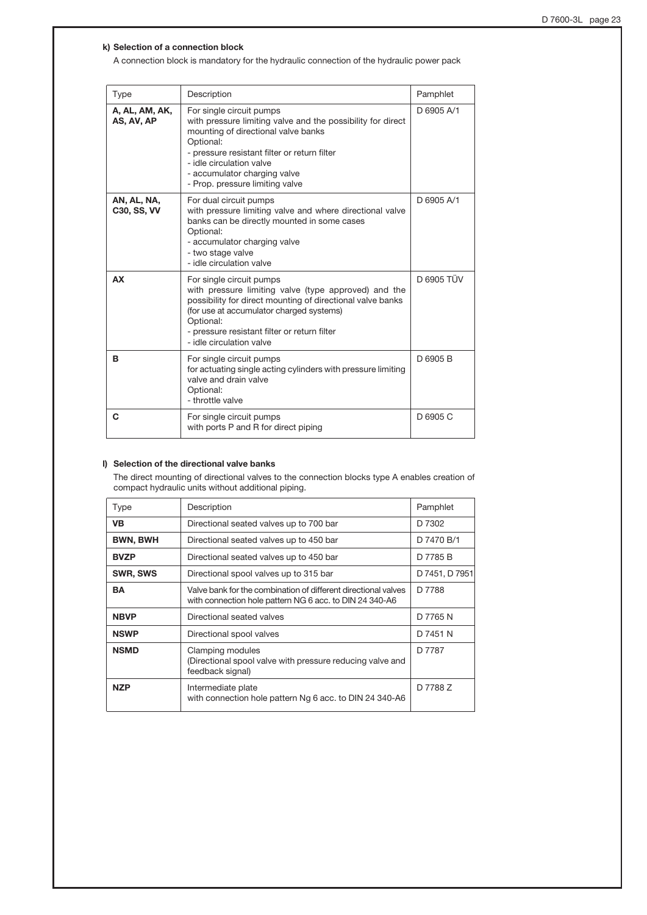#### k) Selection of a connection block

A connection block is mandatory for the hydraulic connection of the hydraulic power pack

| <b>Type</b>                       | Description                                                                                                                                                                                                                                                                                | Pamphlet   |
|-----------------------------------|--------------------------------------------------------------------------------------------------------------------------------------------------------------------------------------------------------------------------------------------------------------------------------------------|------------|
| A, AL, AM, AK,<br>AS, AV, AP      | For single circuit pumps<br>with pressure limiting valve and the possibility for direct<br>mounting of directional valve banks<br>Optional:<br>- pressure resistant filter or return filter<br>- idle circulation valve<br>- accumulator charging valve<br>- Prop. pressure limiting valve | D 6905 A/1 |
| AN, AL, NA,<br><b>C30, SS, VV</b> | For dual circuit pumps<br>with pressure limiting valve and where directional valve<br>banks can be directly mounted in some cases<br>Optional:<br>- accumulator charging valve<br>- two stage valve<br>- idle circulation valve                                                            | D 6905 A/1 |
| <b>AX</b>                         | For single circuit pumps<br>with pressure limiting valve (type approved) and the<br>possibility for direct mounting of directional valve banks<br>(for use at accumulator charged systems)<br>Optional:<br>- pressure resistant filter or return filter<br>- idle circulation valve        | D 6905 TÜV |
| B                                 | For single circuit pumps<br>for actuating single acting cylinders with pressure limiting<br>valve and drain valve<br>Optional:<br>- throttle valve                                                                                                                                         | D 6905 B   |
| C                                 | For single circuit pumps<br>with ports P and R for direct piping                                                                                                                                                                                                                           | D 6905 C   |

#### l) Selection of the directional valve banks

The direct mounting of directional valves to the connection blocks type A enables creation of compact hydraulic units without additional piping.

| Type            | Description                                                                                                               | Pamphlet       |
|-----------------|---------------------------------------------------------------------------------------------------------------------------|----------------|
| <b>VB</b>       | Directional seated valves up to 700 bar                                                                                   | D 7302         |
| <b>BWN, BWH</b> | Directional seated valves up to 450 bar                                                                                   | D 7470 B/1     |
| <b>BVZP</b>     | Directional seated valves up to 450 bar                                                                                   | D 7785 B       |
| SWR, SWS        | Directional spool valves up to 315 bar                                                                                    | D 7451, D 7951 |
| <b>BA</b>       | Valve bank for the combination of different directional valves<br>with connection hole pattern NG 6 acc. to DIN 24 340-A6 | D 7788         |
| <b>NBVP</b>     | Directional seated valves                                                                                                 | D 7765 N       |
| <b>NSWP</b>     | Directional spool valves                                                                                                  | D 7451 N       |
| <b>NSMD</b>     | Clamping modules<br>(Directional spool valve with pressure reducing valve and<br>feedback signal)                         | D 7787         |
| <b>NZP</b>      | Intermediate plate<br>with connection hole pattern Ng 6 acc. to DIN 24 340-A6                                             | D 7788 Z       |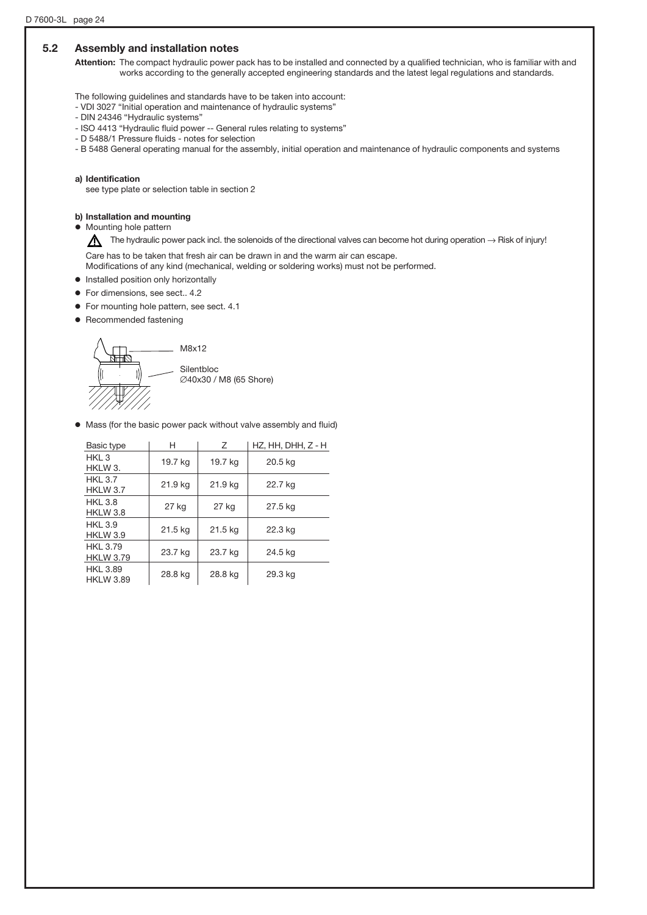## 5.2 Assembly and installation notes

Attention: The compact hydraulic power pack has to be installed and connected by a qualified technician, who is familiar with and works according to the generally accepted engineering standards and the latest legal regulations and standards.

The following guidelines and standards have to be taken into account:

- VDI 3027 "Initial operation and maintenance of hydraulic systems"
- DIN 24346 "Hydraulic systems"
- ISO 4413 "Hydraulic fluid power -- General rules relating to systems"
- D 5488/1 Pressure fluids notes for selection
- B 5488 General operating manual for the assembly, initial operation and maintenance of hydraulic components and systems

#### a) Identification

see type plate or selection table in section 2

### b) Installation and mounting

 $\bullet$  Mounting hole pattern

The hydraulic power pack incl. the solenoids of the directional valves can become hot during operation  $\rightarrow$  Risk of injury!

Care has to be taken that fresh air can be drawn in and the warm air can escape. Modifications of any kind (mechanical, welding or soldering works) must not be performed.

- $\bullet$  Installed position only horizontally
- o For dimensions, see sect.. 4.2
- o For mounting hole pattern, see sect. 4.1
- o Recommended fastening

![](_page_23_Figure_19.jpeg)

o Mass (for the basic power pack without valve assembly and fluid)

| Basic type                          | н       | Ζ       | HZ, HH, DHH, Z - H |
|-------------------------------------|---------|---------|--------------------|
| HKI 3<br>HKLW 3.                    | 19.7 kg | 19.7 kg | 20.5 kg            |
| <b>HKL 3.7</b><br>HKLW 3.7          | 21.9 kg | 21.9 kg | 22.7 kg            |
| <b>HKL 3.8</b><br>HKLW 3.8          | 27 kg   | 27 kg   | 27.5 kg            |
| HKI 3.9<br>HKLW 3.9                 | 21.5 kg | 21.5 kg | 22.3 kg            |
| <b>HKL 3.79</b><br><b>HKLW 3.79</b> | 23.7 kg | 23.7 kg | 24.5 kg            |
| <b>HKL 3.89</b><br><b>HKLW 3.89</b> | 28.8 kg | 28.8 kg | 29.3 kg            |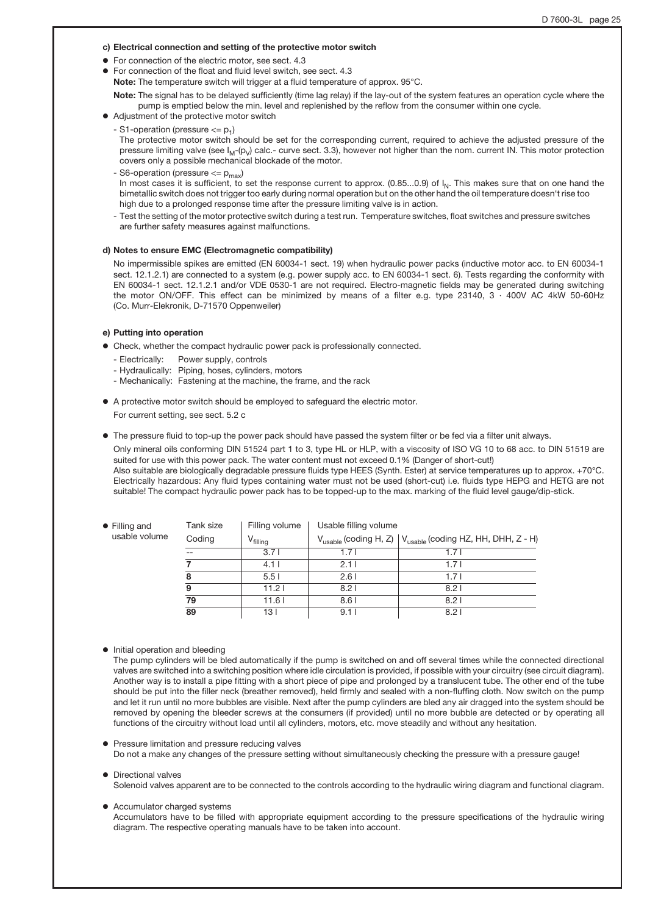#### c) Electrical connection and setting of the protective motor switch

- o For connection of the electric motor, see sect. 4.3
- For connection of the float and fluid level switch, see sect. 4.3

Note: The temperature switch will trigger at a fluid temperature of approx. 95°C.

Note: The signal has to be delayed sufficiently (time lag relay) if the lay-out of the system features an operation cycle where the pump is emptied below the min. level and replenished by the reflow from the consumer within one cycle.

- o Adjustment of the protective motor switch
	- S1-operation (pressure  $\leq$   $p_1$ )

The protective motor switch should be set for the corresponding current, required to achieve the adjusted pressure of the pressure limiting valve (see  $I_M$ -(p<sub>V</sub>) calc.- curve sect. 3.3), however not higher than the nom. current IN. This motor protection covers only a possible mechanical blockade of the motor.

- S6-operation (pressure  $<= p_{max}$ )

In most cases it is sufficient, to set the response current to approx.  $(0.85...0.9)$  of  $I_N$ . This makes sure that on one hand the bimetallic switch does not trigger too early during normal operation but on the other hand the oil temperature doesn't rise too high due to a prolonged response time after the pressure limiting valve is in action.

- Test the setting of the motor protective switch during a test run. Temperature switches, float switches and pressure switches are further safety measures against malfunctions.

#### d) Notes to ensure EMC (Electromagnetic compatibility)

No impermissible spikes are emitted (EN 60034-1 sect. 19) when hydraulic power packs (inductive motor acc. to EN 60034-1 sect. 12.1.2.1) are connected to a system (e.g. power supply acc. to EN 60034-1 sect. 6). Tests regarding the conformity with EN 60034-1 sect. 12.1.2.1 and/or VDE 0530-1 are not required. Electro-magnetic fields may be generated during switching the motor ON/OFF. This effect can be minimized by means of a filter e.g. type 23140, 3 · 400V AC 4kW 50-60Hz (Co. Murr-Elekronik, D-71570 Oppenweiler)

#### e) Putting into operation

- $\bullet$  Check, whether the compact hydraulic power pack is professionally connected.
	- Electrically: Power supply, controls
	- Hydraulically: Piping, hoses, cylinders, motors
	- Mechanically: Fastening at the machine, the frame, and the rack
- o A protective motor switch should be employed to safeguard the electric motor. For current setting, see sect. 5.2 c

o The pressure fluid to top-up the power pack should have passed the system filter or be fed via a filter unit always. Only mineral oils conforming DIN 51524 part 1 to 3, type HL or HLP, with a viscosity of ISO VG 10 to 68 acc. to DIN 51519 are suited for use with this power pack. The water content must not exceed 0.1% (Danger of short-cut!) Also suitable are biologically degradable pressure fluids type HEES (Synth. Ester) at service temperatures up to approx. +70°C. Electrically hazardous: Any fluid types containing water must not be used (short-cut) i.e. fluids type HEPG and HETG are not suitable! The compact hydraulic power pack has to be topped-up to the max. marking of the fluid level gauge/dip-stick.

| $\bullet$ Filling and | Tank size | Filling volume       | Usable filling volume |                                                                                    |  |  |  |
|-----------------------|-----------|----------------------|-----------------------|------------------------------------------------------------------------------------|--|--|--|
| usable volume         | Coding    | V <sub>filling</sub> |                       | $V_{\text{usable}}$ (coding H, Z) $ V_{\text{usable}}$ (coding HZ, HH, DHH, Z - H) |  |  |  |
|                       |           | 3.71                 | 1.71                  | 1.7 I                                                                              |  |  |  |
|                       |           | 4.11                 | 2.11                  | 1.7 I                                                                              |  |  |  |
|                       | 8         | 5.51                 | 2.61                  | 1.71                                                                               |  |  |  |
|                       | 9         | 11.21                | 8.21                  | 8.21                                                                               |  |  |  |
|                       | 79        | 11.61                | 8.61                  | 8.21                                                                               |  |  |  |
|                       | 89        | 13 I                 | 9.11                  | 8.21                                                                               |  |  |  |

 $\bullet$  Initial operation and bleeding

The pump cylinders will be bled automatically if the pump is switched on and off several times while the connected directional valves are switched into a switching position where idle circulation is provided, if possible with your circuitry (see circuit diagram). Another way is to install a pipe fitting with a short piece of pipe and prolonged by a translucent tube. The other end of the tube should be put into the filler neck (breather removed), held firmly and sealed with a non-fluffing cloth. Now switch on the pump and let it run until no more bubbles are visible. Next after the pump cylinders are bled any air dragged into the system should be removed by opening the bleeder screws at the consumers (if provided) until no more bubble are detected or by operating all functions of the circuitry without load until all cylinders, motors, etc. move steadily and without any hesitation.

Pressure limitation and pressure reducing valves Do not a make any changes of the pressure setting without simultaneously checking the pressure with a pressure gauge!

#### o Directional valves

Solenoid valves apparent are to be connected to the controls according to the hydraulic wiring diagram and functional diagram.

• Accumulator charged systems

Accumulators have to be filled with appropriate equipment according to the pressure specifications of the hydraulic wiring diagram. The respective operating manuals have to be taken into account.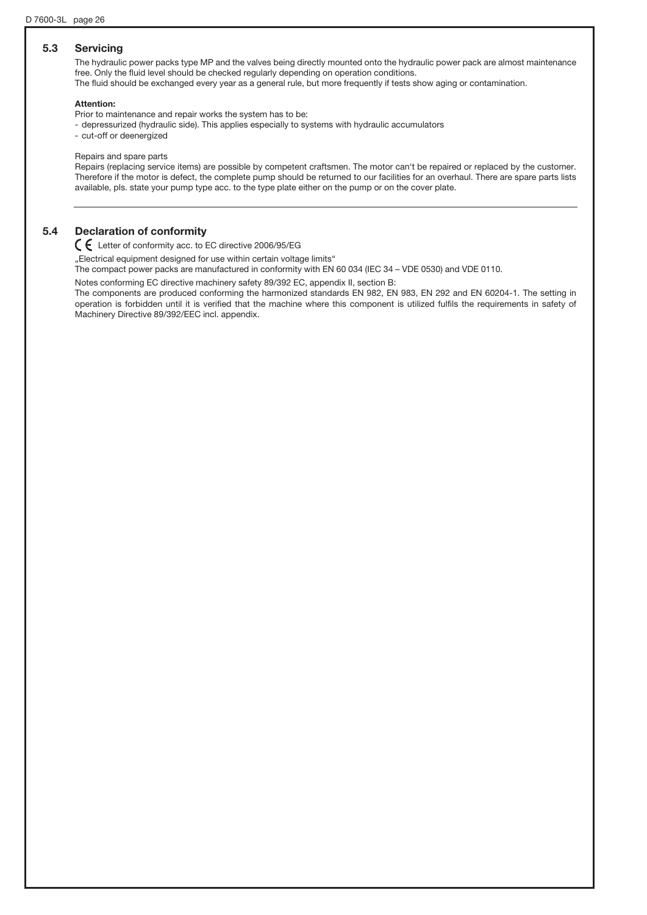### 5.3 Servicing

The hydraulic power packs type MP and the valves being directly mounted onto the hydraulic power pack are almost maintenance free. Only the fluid level should be checked regularly depending on operation conditions. The fluid should be exchanged every year as a general rule, but more frequently if tests show aging or contamination.

#### Attention:

Prior to maintenance and repair works the system has to be:

- depressurized (hydraulic side). This applies especially to systems with hydraulic accumulators

- cut-off or deenergized

#### Repairs and spare parts

Repairs (replacing service items) are possible by competent craftsmen. The motor can't be repaired or replaced by the customer. Therefore if the motor is defect, the complete pump should be returned to our facilities for an overhaul. There are spare parts lists available, pls. state your pump type acc. to the type plate either on the pump or on the cover plate.

#### 5.4 Declaration of conformity

Letter of conformity acc. to EC directive 2006/95/EG

"Electrical equipment designed for use within certain voltage limits"

The compact power packs are manufactured in conformity with EN 60 034 (IEC 34 – VDE 0530) and VDE 0110.

Notes conforming EC directive machinery safety 89/392 EC, appendix II, section B:

The components are produced conforming the harmonized standards EN 982, EN 983, EN 292 and EN 60204-1. The setting in operation is forbidden until it is verified that the machine where this component is utilized fulfils the requirements in safety of Machinery Directive 89/392/EEC incl. appendix.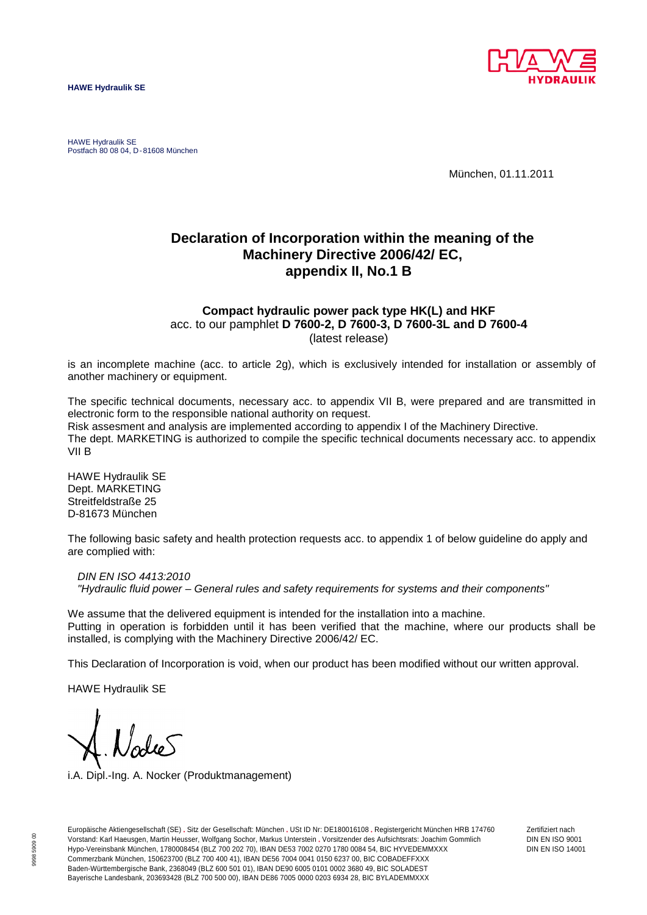![](_page_26_Picture_1.jpeg)

HAWE Hydraulik SE Postfach 80 08 04, D-81608 München

München, 01.11.2011

# **Declaration of Incorporation within the meaning of the Machinery Directive 2006/42/ EC, appendix II, No.1 B**

### **Compact hydraulic power pack type HK(L) and HKF** acc. to our pamphlet **D 7600-2, D 7600-3, D 7600-3L and D 7600-4** (latest release)

is an incomplete machine (acc. to article 2g), which is exclusively intended for installation or assembly of another machinery or equipment.

The specific technical documents, necessary acc. to appendix VII B, were prepared and are transmitted in electronic form to the responsible national authority on request. Risk assesment and analysis are implemented according to appendix I of the Machinery Directive. The dept. MARKETING is authorized to compile the specific technical documents necessary acc. to appendix VII B

HAWE Hydraulik SE Dept. MARKETING Streitfeldstraße 25 D-81673 München

The following basic safety and health protection requests acc. to appendix 1 of below guideline do apply and are complied with:

#### *DIN EN ISO 4413:2010*

*"Hydraulic fluid power – General rules and safety requirements for systems and their components"*

We assume that the delivered equipment is intended for the installation into a machine. Putting in operation is forbidden until it has been verified that the machine, where our products shall be installed, is complying with the Machinery Directive 2006/42/ EC.

This Declaration of Incorporation is void, when our product has been modified without our written approval.

HAWE Hydraulik SE

i.A. Dipl.-Ing. A. Nocker (Produktmanagement)